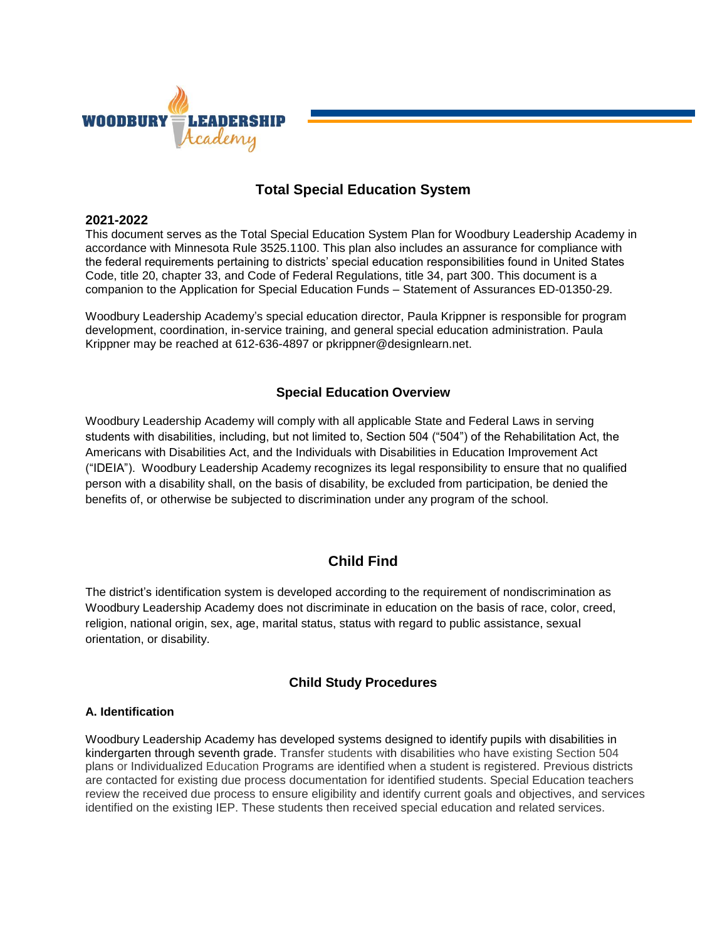

## **Total Special Education System**

#### **2021-2022**

This document serves as the Total Special Education System Plan for Woodbury Leadership Academy in accordance with Minnesota Rule 3525.1100. This plan also includes an assurance for compliance with the federal requirements pertaining to districts' special education responsibilities found in United States Code, title 20, chapter 33, and Code of Federal Regulations, title 34, part 300. This document is a companion to the Application for Special Education Funds – Statement of Assurances ED-01350-29.

Woodbury Leadership Academy's special education director, Paula Krippner is responsible for program development, coordination, in-service training, and general special education administration. Paula Krippner may be reached at 612-636-4897 or pkrippner@designlearn.net.

## **Special Education Overview**

Woodbury Leadership Academy will comply with all applicable State and Federal Laws in serving students with disabilities, including, but not limited to, Section 504 ("504") of the Rehabilitation Act, the Americans with Disabilities Act, and the Individuals with Disabilities in Education Improvement Act ("IDEIA"). Woodbury Leadership Academy recognizes its legal responsibility to ensure that no qualified person with a disability shall, on the basis of disability, be excluded from participation, be denied the benefits of, or otherwise be subjected to discrimination under any program of the school.

## **Child Find**

The district's identification system is developed according to the requirement of nondiscrimination as Woodbury Leadership Academy does not discriminate in education on the basis of race, color, creed, religion, national origin, sex, age, marital status, status with regard to public assistance, sexual orientation, or disability.

## **Child Study Procedures**

#### **A. Identification**

Woodbury Leadership Academy has developed systems designed to identify pupils with disabilities in kindergarten through seventh grade. Transfer students with disabilities who have existing Section 504 plans or Individualized Education Programs are identified when a student is registered. Previous districts are contacted for existing due process documentation for identified students. Special Education teachers review the received due process to ensure eligibility and identify current goals and objectives, and services identified on the existing IEP. These students then received special education and related services.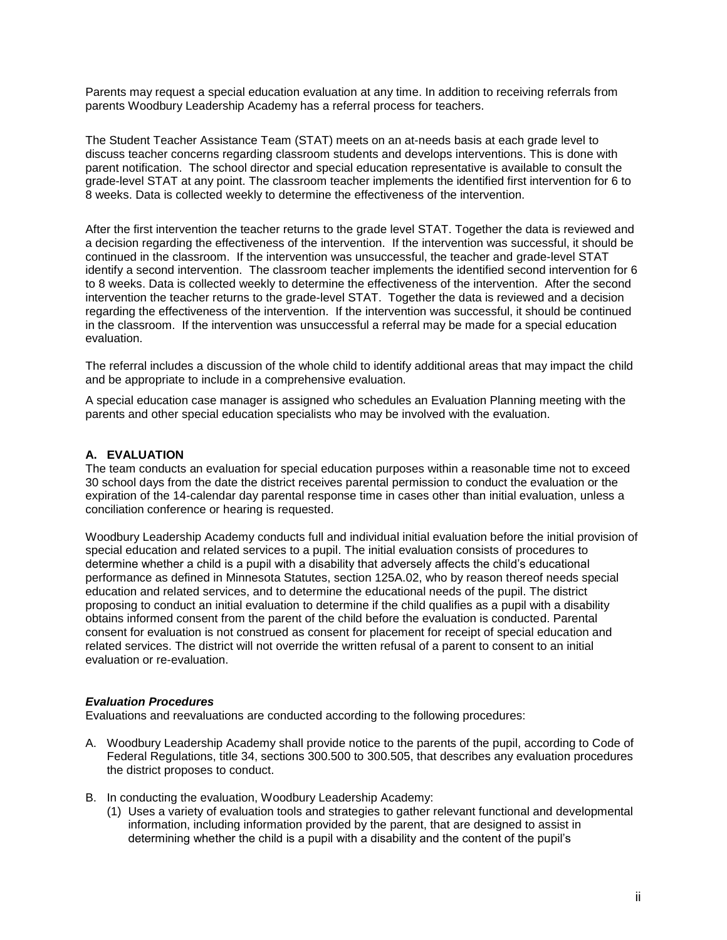Parents may request a special education evaluation at any time. In addition to receiving referrals from parents Woodbury Leadership Academy has a referral process for teachers.

The Student Teacher Assistance Team (STAT) meets on an at-needs basis at each grade level to discuss teacher concerns regarding classroom students and develops interventions. This is done with parent notification. The school director and special education representative is available to consult the grade-level STAT at any point. The classroom teacher implements the identified first intervention for 6 to 8 weeks. Data is collected weekly to determine the effectiveness of the intervention.

After the first intervention the teacher returns to the grade level STAT. Together the data is reviewed and a decision regarding the effectiveness of the intervention. If the intervention was successful, it should be continued in the classroom. If the intervention was unsuccessful, the teacher and grade-level STAT identify a second intervention. The classroom teacher implements the identified second intervention for 6 to 8 weeks. Data is collected weekly to determine the effectiveness of the intervention. After the second intervention the teacher returns to the grade-level STAT. Together the data is reviewed and a decision regarding the effectiveness of the intervention. If the intervention was successful, it should be continued in the classroom. If the intervention was unsuccessful a referral may be made for a special education evaluation.

The referral includes a discussion of the whole child to identify additional areas that may impact the child and be appropriate to include in a comprehensive evaluation.

A special education case manager is assigned who schedules an Evaluation Planning meeting with the parents and other special education specialists who may be involved with the evaluation.

#### **A. EVALUATION**

The team conducts an evaluation for special education purposes within a reasonable time not to exceed 30 school days from the date the district receives parental permission to conduct the evaluation or the expiration of the 14-calendar day parental response time in cases other than initial evaluation, unless a conciliation conference or hearing is requested.

Woodbury Leadership Academy conducts full and individual initial evaluation before the initial provision of special education and related services to a pupil. The initial evaluation consists of procedures to determine whether a child is a pupil with a disability that adversely affects the child's educational performance as defined in Minnesota Statutes, section 125A.02, who by reason thereof needs special education and related services, and to determine the educational needs of the pupil. The district proposing to conduct an initial evaluation to determine if the child qualifies as a pupil with a disability obtains informed consent from the parent of the child before the evaluation is conducted. Parental consent for evaluation is not construed as consent for placement for receipt of special education and related services. The district will not override the written refusal of a parent to consent to an initial evaluation or re-evaluation.

#### *Evaluation Procedures*

Evaluations and reevaluations are conducted according to the following procedures:

- A. Woodbury Leadership Academy shall provide notice to the parents of the pupil, according to Code of Federal Regulations, title 34, sections 300.500 to 300.505, that describes any evaluation procedures the district proposes to conduct.
- B. In conducting the evaluation, Woodbury Leadership Academy:
	- (1) Uses a variety of evaluation tools and strategies to gather relevant functional and developmental information, including information provided by the parent, that are designed to assist in determining whether the child is a pupil with a disability and the content of the pupil's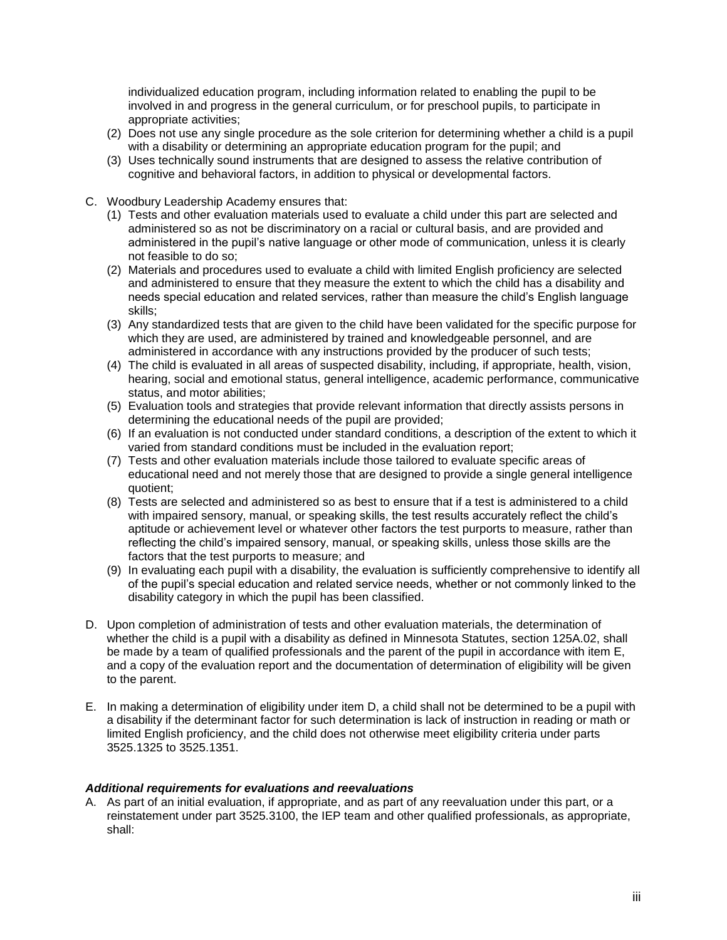individualized education program, including information related to enabling the pupil to be involved in and progress in the general curriculum, or for preschool pupils, to participate in appropriate activities;

- (2) Does not use any single procedure as the sole criterion for determining whether a child is a pupil with a disability or determining an appropriate education program for the pupil; and
- (3) Uses technically sound instruments that are designed to assess the relative contribution of cognitive and behavioral factors, in addition to physical or developmental factors.
- C. Woodbury Leadership Academy ensures that:
	- (1) Tests and other evaluation materials used to evaluate a child under this part are selected and administered so as not be discriminatory on a racial or cultural basis, and are provided and administered in the pupil's native language or other mode of communication, unless it is clearly not feasible to do so;
	- (2) Materials and procedures used to evaluate a child with limited English proficiency are selected and administered to ensure that they measure the extent to which the child has a disability and needs special education and related services, rather than measure the child's English language skills;
	- (3) Any standardized tests that are given to the child have been validated for the specific purpose for which they are used, are administered by trained and knowledgeable personnel, and are administered in accordance with any instructions provided by the producer of such tests;
	- (4) The child is evaluated in all areas of suspected disability, including, if appropriate, health, vision, hearing, social and emotional status, general intelligence, academic performance, communicative status, and motor abilities;
	- (5) Evaluation tools and strategies that provide relevant information that directly assists persons in determining the educational needs of the pupil are provided;
	- (6) If an evaluation is not conducted under standard conditions, a description of the extent to which it varied from standard conditions must be included in the evaluation report;
	- (7) Tests and other evaluation materials include those tailored to evaluate specific areas of educational need and not merely those that are designed to provide a single general intelligence quotient;
	- (8) Tests are selected and administered so as best to ensure that if a test is administered to a child with impaired sensory, manual, or speaking skills, the test results accurately reflect the child's aptitude or achievement level or whatever other factors the test purports to measure, rather than reflecting the child's impaired sensory, manual, or speaking skills, unless those skills are the factors that the test purports to measure; and
	- (9) In evaluating each pupil with a disability, the evaluation is sufficiently comprehensive to identify all of the pupil's special education and related service needs, whether or not commonly linked to the disability category in which the pupil has been classified.
- D. Upon completion of administration of tests and other evaluation materials, the determination of whether the child is a pupil with a disability as defined in Minnesota Statutes, section 125A.02, shall be made by a team of qualified professionals and the parent of the pupil in accordance with item E, and a copy of the evaluation report and the documentation of determination of eligibility will be given to the parent.
- E. In making a determination of eligibility under item D, a child shall not be determined to be a pupil with a disability if the determinant factor for such determination is lack of instruction in reading or math or limited English proficiency, and the child does not otherwise meet eligibility criteria under parts 3525.1325 to 3525.1351.

#### *Additional requirements for evaluations and reevaluations*

A. As part of an initial evaluation, if appropriate, and as part of any reevaluation under this part, or a reinstatement under part 3525.3100, the IEP team and other qualified professionals, as appropriate, shall: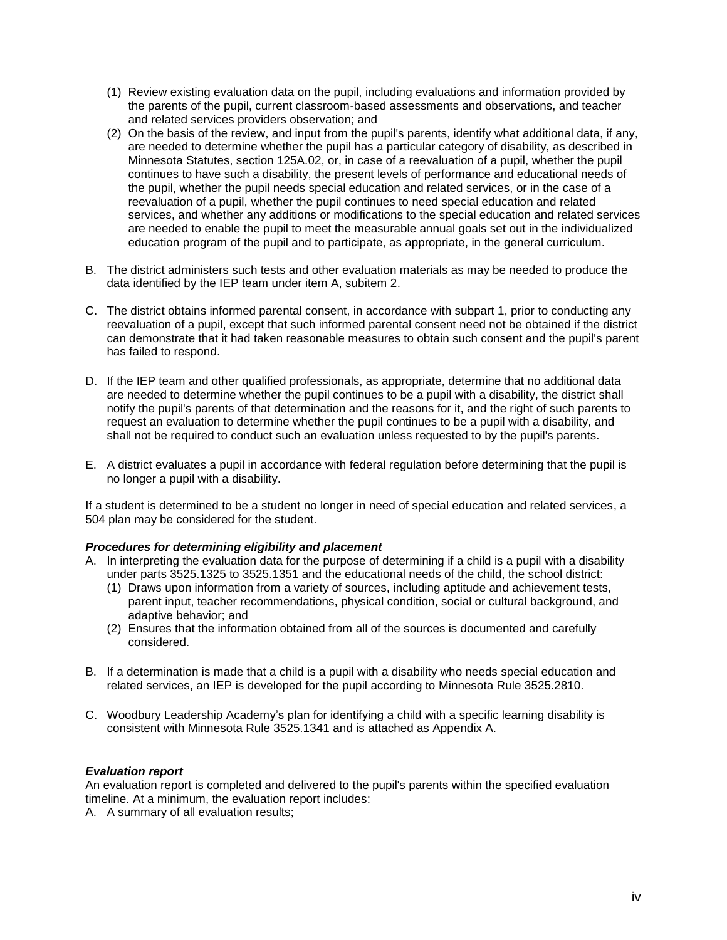- (1) Review existing evaluation data on the pupil, including evaluations and information provided by the parents of the pupil, current classroom-based assessments and observations, and teacher and related services providers observation; and
- (2) On the basis of the review, and input from the pupil's parents, identify what additional data, if any, are needed to determine whether the pupil has a particular category of disability, as described in Minnesota Statutes, section 125A.02, or, in case of a reevaluation of a pupil, whether the pupil continues to have such a disability, the present levels of performance and educational needs of the pupil, whether the pupil needs special education and related services, or in the case of a reevaluation of a pupil, whether the pupil continues to need special education and related services, and whether any additions or modifications to the special education and related services are needed to enable the pupil to meet the measurable annual goals set out in the individualized education program of the pupil and to participate, as appropriate, in the general curriculum.
- B. The district administers such tests and other evaluation materials as may be needed to produce the data identified by the IEP team under item A, subitem 2.
- C. The district obtains informed parental consent, in accordance with subpart 1, prior to conducting any reevaluation of a pupil, except that such informed parental consent need not be obtained if the district can demonstrate that it had taken reasonable measures to obtain such consent and the pupil's parent has failed to respond.
- D. If the IEP team and other qualified professionals, as appropriate, determine that no additional data are needed to determine whether the pupil continues to be a pupil with a disability, the district shall notify the pupil's parents of that determination and the reasons for it, and the right of such parents to request an evaluation to determine whether the pupil continues to be a pupil with a disability, and shall not be required to conduct such an evaluation unless requested to by the pupil's parents.
- E. A district evaluates a pupil in accordance with federal regulation before determining that the pupil is no longer a pupil with a disability.

If a student is determined to be a student no longer in need of special education and related services, a 504 plan may be considered for the student.

#### *Procedures for determining eligibility and placement*

- A. In interpreting the evaluation data for the purpose of determining if a child is a pupil with a disability under parts 3525.1325 to 3525.1351 and the educational needs of the child, the school district:
	- (1) Draws upon information from a variety of sources, including aptitude and achievement tests, parent input, teacher recommendations, physical condition, social or cultural background, and adaptive behavior; and
	- (2) Ensures that the information obtained from all of the sources is documented and carefully considered.
- B. If a determination is made that a child is a pupil with a disability who needs special education and related services, an IEP is developed for the pupil according to Minnesota Rule 3525.2810.
- C. Woodbury Leadership Academy's plan for identifying a child with a specific learning disability is consistent with Minnesota Rule 3525.1341 and is attached as Appendix A.

#### *Evaluation report*

An evaluation report is completed and delivered to the pupil's parents within the specified evaluation timeline. At a minimum, the evaluation report includes:

A. A summary of all evaluation results;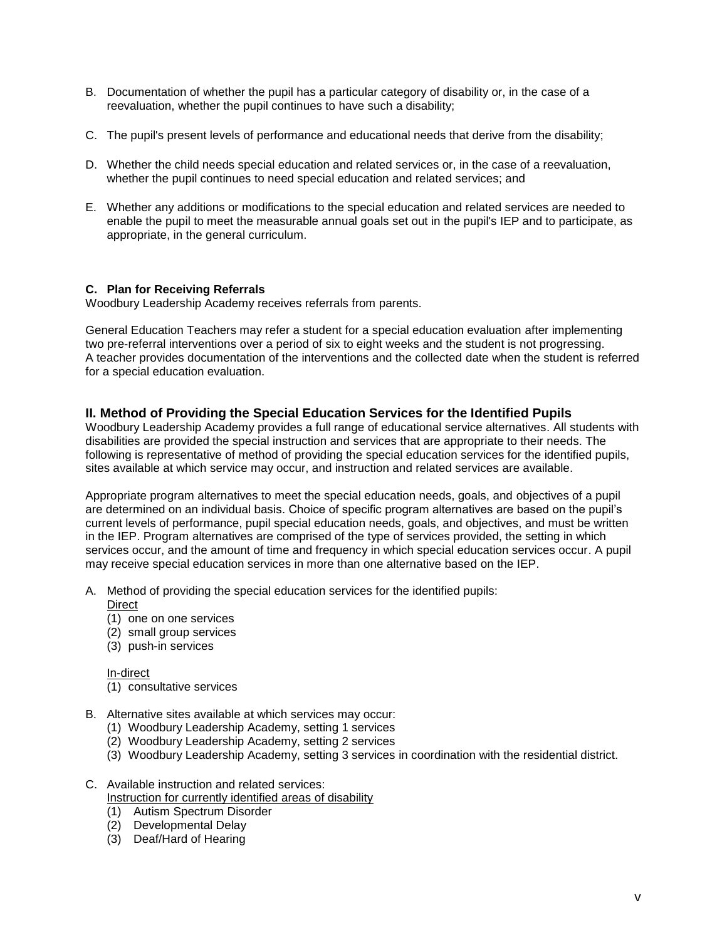- B. Documentation of whether the pupil has a particular category of disability or, in the case of a reevaluation, whether the pupil continues to have such a disability;
- C. The pupil's present levels of performance and educational needs that derive from the disability;
- D. Whether the child needs special education and related services or, in the case of a reevaluation, whether the pupil continues to need special education and related services; and
- E. Whether any additions or modifications to the special education and related services are needed to enable the pupil to meet the measurable annual goals set out in the pupil's IEP and to participate, as appropriate, in the general curriculum.

## **C. Plan for Receiving Referrals**

Woodbury Leadership Academy receives referrals from parents.

General Education Teachers may refer a student for a special education evaluation after implementing two pre-referral interventions over a period of six to eight weeks and the student is not progressing. A teacher provides documentation of the interventions and the collected date when the student is referred for a special education evaluation.

## **II. Method of Providing the Special Education Services for the Identified Pupils**

Woodbury Leadership Academy provides a full range of educational service alternatives. All students with disabilities are provided the special instruction and services that are appropriate to their needs. The following is representative of method of providing the special education services for the identified pupils, sites available at which service may occur, and instruction and related services are available.

Appropriate program alternatives to meet the special education needs, goals, and objectives of a pupil are determined on an individual basis. Choice of specific program alternatives are based on the pupil's current levels of performance, pupil special education needs, goals, and objectives, and must be written in the IEP. Program alternatives are comprised of the type of services provided, the setting in which services occur, and the amount of time and frequency in which special education services occur. A pupil may receive special education services in more than one alternative based on the IEP.

- A. Method of providing the special education services for the identified pupils:
	- Direct
		- (1) one on one services
		- (2) small group services
	- (3) push-in services

#### In-direct

- (1) consultative services
- B. Alternative sites available at which services may occur:
	- (1) Woodbury Leadership Academy, setting 1 services
	- (2) Woodbury Leadership Academy, setting 2 services
	- (3) Woodbury Leadership Academy, setting 3 services in coordination with the residential district.
- C. Available instruction and related services: Instruction for currently identified areas of disability
	- (1) Autism Spectrum Disorder
	- (2) Developmental Delay
	- (3) Deaf/Hard of Hearing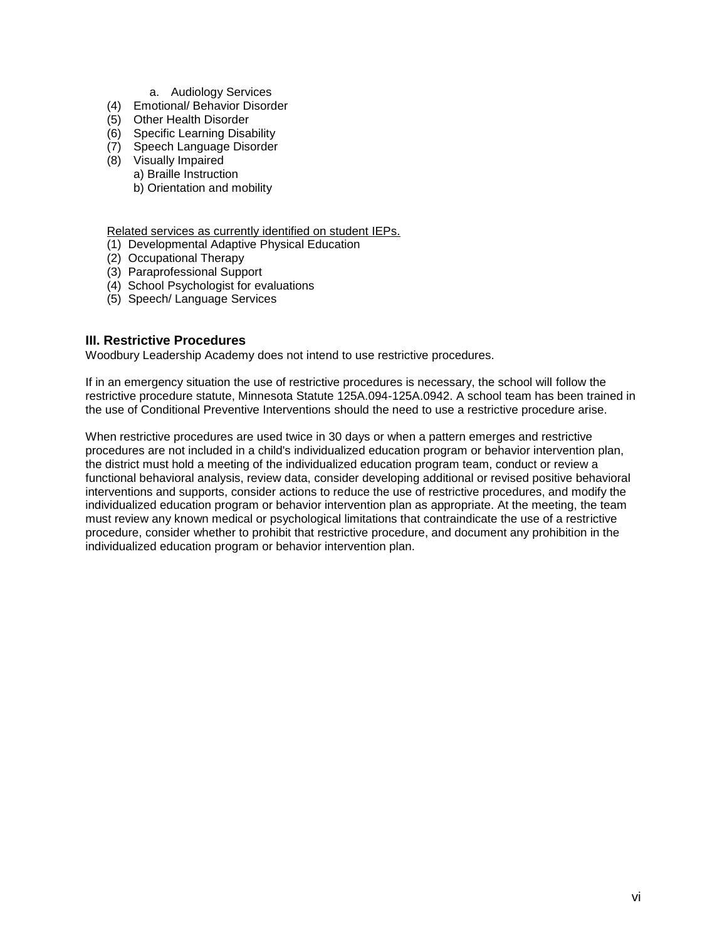- a. Audiology Services
- (4) Emotional/ Behavior Disorder
- (5) Other Health Disorder
- (6) Specific Learning Disability
- (7) Speech Language Disorder
- (8) Visually Impaired a) Braille Instruction b) Orientation and mobility

Related services as currently identified on student IEPs.

- (1) Developmental Adaptive Physical Education
- (2) Occupational Therapy
- (3) Paraprofessional Support
- (4) School Psychologist for evaluations
- (5) Speech/ Language Services

## **III. Restrictive Procedures**

Woodbury Leadership Academy does not intend to use restrictive procedures.

If in an emergency situation the use of restrictive procedures is necessary, the school will follow the restrictive procedure statute, Minnesota Statute 125A.094-125A.0942. A school team has been trained in the use of Conditional Preventive Interventions should the need to use a restrictive procedure arise.

When restrictive procedures are used twice in 30 days or when a pattern emerges and restrictive procedures are not included in a child's individualized education program or behavior intervention plan, the district must hold a meeting of the individualized education program team, conduct or review a functional behavioral analysis, review data, consider developing additional or revised positive behavioral interventions and supports, consider actions to reduce the use of restrictive procedures, and modify the individualized education program or behavior intervention plan as appropriate. At the meeting, the team must review any known medical or psychological limitations that contraindicate the use of a restrictive procedure, consider whether to prohibit that restrictive procedure, and document any prohibition in the individualized education program or behavior intervention plan.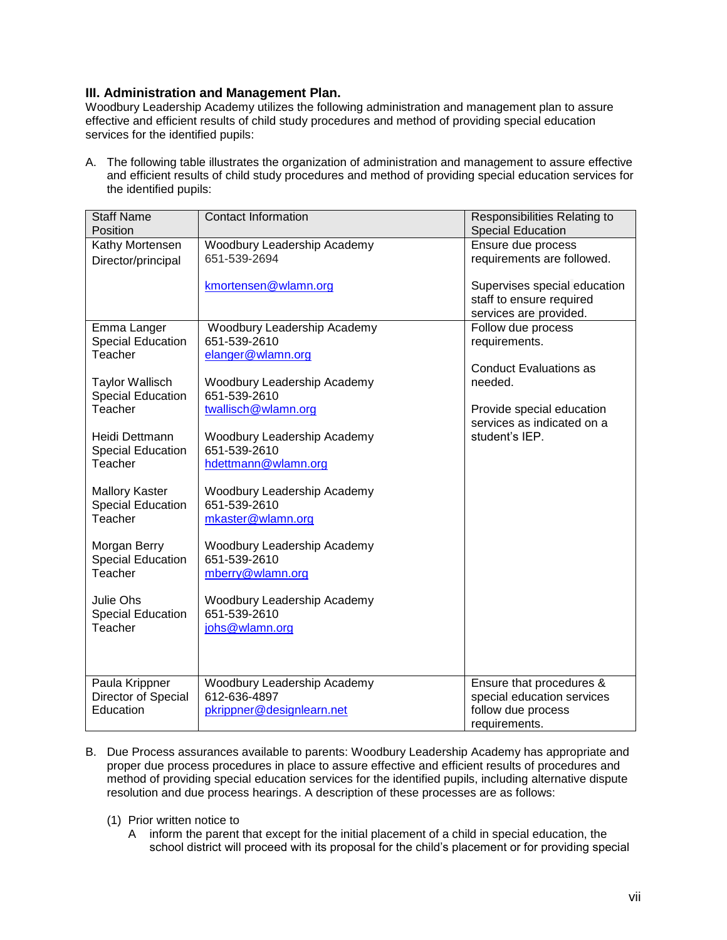## **III. Administration and Management Plan.**

Woodbury Leadership Academy utilizes the following administration and management plan to assure effective and efficient results of child study procedures and method of providing special education services for the identified pupils:

A. The following table illustrates the organization of administration and management to assure effective and efficient results of child study procedures and method of providing special education services for the identified pupils:

| <b>Staff Name</b>                   | <b>Contact Information</b>                  | Responsibilities Relating to                       |
|-------------------------------------|---------------------------------------------|----------------------------------------------------|
| Position                            |                                             | <b>Special Education</b>                           |
| Kathy Mortensen                     | Woodbury Leadership Academy                 | Ensure due process                                 |
| Director/principal                  | 651-539-2694                                | requirements are followed.                         |
|                                     |                                             |                                                    |
|                                     | kmortensen@wlamn.org                        | Supervises special education                       |
|                                     |                                             | staff to ensure required<br>services are provided. |
| Emma Langer                         | Woodbury Leadership Academy                 | Follow due process                                 |
| <b>Special Education</b>            | 651-539-2610                                | requirements.                                      |
| Teacher                             | elanger@wlamn.org                           |                                                    |
|                                     |                                             | <b>Conduct Evaluations as</b>                      |
| <b>Taylor Wallisch</b>              | Woodbury Leadership Academy                 | needed.                                            |
| Special Education                   | 651-539-2610                                |                                                    |
| Teacher                             | twallisch@wlamn.org                         | Provide special education                          |
|                                     |                                             | services as indicated on a                         |
| Heidi Dettmann                      | Woodbury Leadership Academy                 | student's IEP.                                     |
| <b>Special Education</b>            | 651-539-2610                                |                                                    |
| Teacher                             | hdettmann@wlamn.org                         |                                                    |
|                                     |                                             |                                                    |
| <b>Mallory Kaster</b>               | Woodbury Leadership Academy<br>651-539-2610 |                                                    |
| <b>Special Education</b><br>Teacher | mkaster@wlamn.org                           |                                                    |
|                                     |                                             |                                                    |
| Morgan Berry                        | Woodbury Leadership Academy                 |                                                    |
| <b>Special Education</b>            | 651-539-2610                                |                                                    |
| Teacher                             | mberry@wlamn.org                            |                                                    |
|                                     |                                             |                                                    |
| Julie Ohs                           | Woodbury Leadership Academy                 |                                                    |
| <b>Special Education</b>            | 651-539-2610                                |                                                    |
| Teacher                             | johs@wlamn.org                              |                                                    |
|                                     |                                             |                                                    |
|                                     |                                             |                                                    |
| Paula Krippner                      | Woodbury Leadership Academy                 | Ensure that procedures &                           |
| Director of Special                 | 612-636-4897                                | special education services                         |
| Education                           | pkrippner@designlearn.net                   | follow due process                                 |
|                                     |                                             | requirements.                                      |

- B. Due Process assurances available to parents: Woodbury Leadership Academy has appropriate and proper due process procedures in place to assure effective and efficient results of procedures and method of providing special education services for the identified pupils, including alternative dispute resolution and due process hearings. A description of these processes are as follows:
	- (1) Prior written notice to
		- A inform the parent that except for the initial placement of a child in special education, the school district will proceed with its proposal for the child's placement or for providing special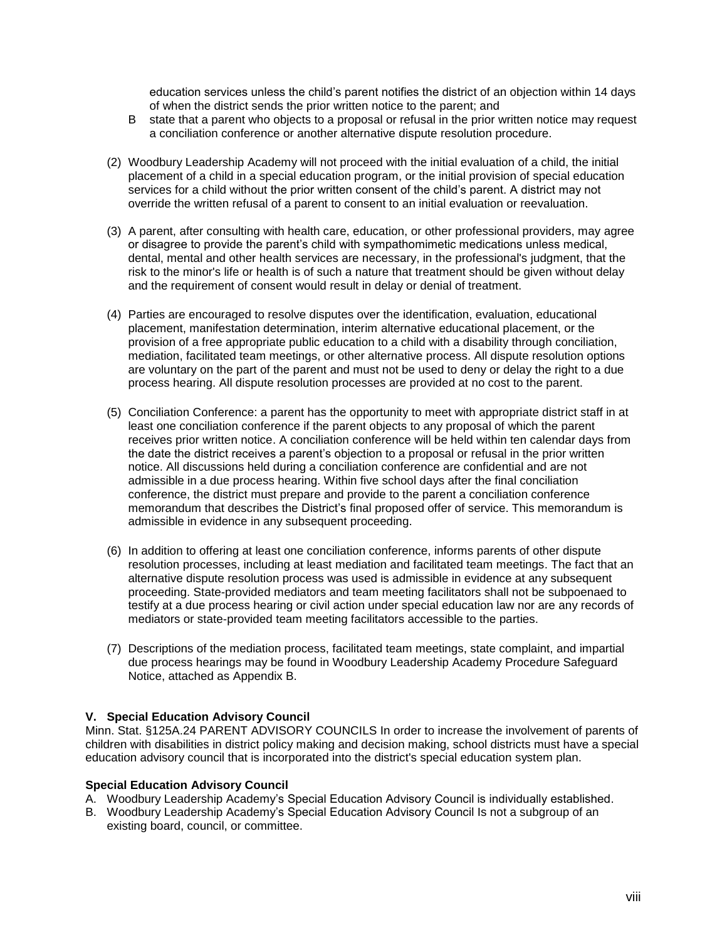education services unless the child's parent notifies the district of an objection within 14 days of when the district sends the prior written notice to the parent; and

- B state that a parent who objects to a proposal or refusal in the prior written notice may request a conciliation conference or another alternative dispute resolution procedure.
- (2) Woodbury Leadership Academy will not proceed with the initial evaluation of a child, the initial placement of a child in a special education program, or the initial provision of special education services for a child without the prior written consent of the child's parent. A district may not override the written refusal of a parent to consent to an initial evaluation or reevaluation.
- (3) A parent, after consulting with health care, education, or other professional providers, may agree or disagree to provide the parent's child with sympathomimetic medications unless medical, dental, mental and other health services are necessary, in the professional's judgment, that the risk to the minor's life or health is of such a nature that treatment should be given without delay and the requirement of consent would result in delay or denial of treatment.
- (4) Parties are encouraged to resolve disputes over the identification, evaluation, educational placement, manifestation determination, interim alternative educational placement, or the provision of a free appropriate public education to a child with a disability through conciliation, mediation, facilitated team meetings, or other alternative process. All dispute resolution options are voluntary on the part of the parent and must not be used to deny or delay the right to a due process hearing. All dispute resolution processes are provided at no cost to the parent.
- (5) Conciliation Conference: a parent has the opportunity to meet with appropriate district staff in at least one conciliation conference if the parent objects to any proposal of which the parent receives prior written notice. A conciliation conference will be held within ten calendar days from the date the district receives a parent's objection to a proposal or refusal in the prior written notice. All discussions held during a conciliation conference are confidential and are not admissible in a due process hearing. Within five school days after the final conciliation conference, the district must prepare and provide to the parent a conciliation conference memorandum that describes the District's final proposed offer of service. This memorandum is admissible in evidence in any subsequent proceeding.
- (6) In addition to offering at least one conciliation conference, informs parents of other dispute resolution processes, including at least mediation and facilitated team meetings. The fact that an alternative dispute resolution process was used is admissible in evidence at any subsequent proceeding. State-provided mediators and team meeting facilitators shall not be subpoenaed to testify at a due process hearing or civil action under special education law nor are any records of mediators or state-provided team meeting facilitators accessible to the parties.
- (7) Descriptions of the mediation process, facilitated team meetings, state complaint, and impartial due process hearings may be found in Woodbury Leadership Academy Procedure Safeguard Notice, attached as Appendix B.

## **V. Special Education Advisory Council**

Minn. Stat. §125A.24 PARENT ADVISORY COUNCILS In order to increase the involvement of parents of children with disabilities in district policy making and decision making, school districts must have a special education advisory council that is incorporated into the district's special education system plan.

#### **Special Education Advisory Council**

- A. Woodbury Leadership Academy's Special Education Advisory Council is individually established.
- B. Woodbury Leadership Academy's Special Education Advisory Council Is not a subgroup of an existing board, council, or committee.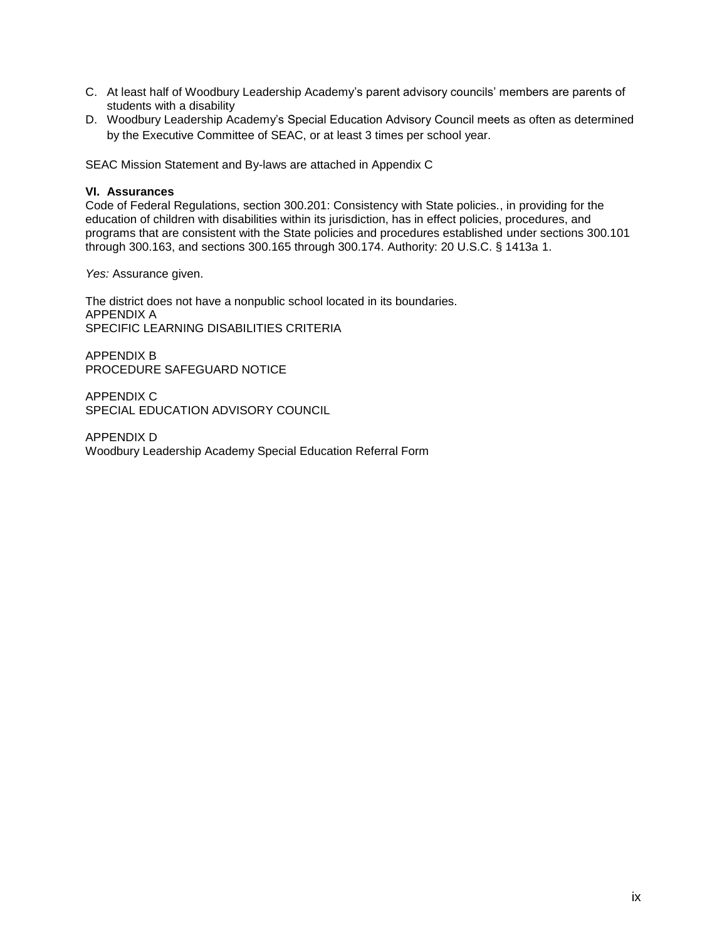- C. At least half of Woodbury Leadership Academy's parent advisory councils' members are parents of students with a disability
- D. Woodbury Leadership Academy's Special Education Advisory Council meets as often as determined by the Executive Committee of SEAC, or at least 3 times per school year.

SEAC Mission Statement and By-laws are attached in Appendix C

#### **VI. Assurances**

Code of Federal Regulations, section 300.201: Consistency with State policies*.*, in providing for the education of children with disabilities within its jurisdiction, has in effect policies, procedures, and programs that are consistent with the State policies and procedures established under sections 300.101 through 300.163, and sections 300.165 through 300.174. Authority: 20 U.S.C. § 1413a 1.

*Yes:* Assurance given.

The district does not have a nonpublic school located in its boundaries. APPENDIX A SPECIFIC LEARNING DISABILITIES CRITERIA

APPENDIX B PROCEDURE SAFEGUARD NOTICE

APPENDIX C SPECIAL EDUCATION ADVISORY COUNCIL

APPENDIX D Woodbury Leadership Academy Special Education Referral Form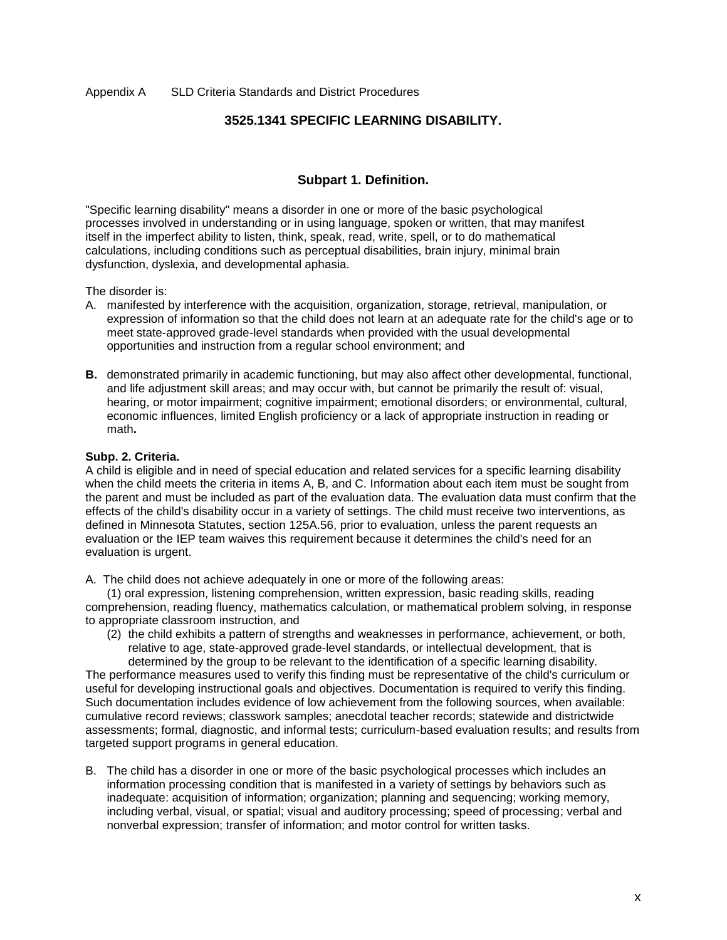## **3525.1341 SPECIFIC LEARNING DISABILITY.**

## **Subpart 1. Definition.**

"Specific learning disability" means a disorder in one or more of the basic psychological processes involved in understanding or in using language, spoken or written, that may manifest itself in the imperfect ability to listen, think, speak, read, write, spell, or to do mathematical calculations, including conditions such as perceptual disabilities, brain injury, minimal brain dysfunction, dyslexia, and developmental aphasia.

The disorder is:

- A. manifested by interference with the acquisition, organization, storage, retrieval, manipulation, or expression of information so that the child does not learn at an adequate rate for the child's age or to meet state-approved grade-level standards when provided with the usual developmental opportunities and instruction from a regular school environment; and
- **B.** demonstrated primarily in academic functioning, but may also affect other developmental, functional, and life adjustment skill areas; and may occur with, but cannot be primarily the result of: visual, hearing, or motor impairment; cognitive impairment; emotional disorders; or environmental, cultural, economic influences, limited English proficiency or a lack of appropriate instruction in reading or math**.**

#### **Subp. 2. Criteria.**

A child is eligible and in need of special education and related services for a specific learning disability when the child meets the criteria in items A, B, and C. Information about each item must be sought from the parent and must be included as part of the evaluation data. The evaluation data must confirm that the effects of the child's disability occur in a variety of settings. The child must receive two interventions, as defined in Minnesota Statutes, section [125A.56,](https://www.revisor.mn.gov/statutes/?id=125A.56) prior to evaluation, unless the parent requests an evaluation or the IEP team waives this requirement because it determines the child's need for an evaluation is urgent.

A. The child does not achieve adequately in one or more of the following areas:

(1) oral expression, listening comprehension, written expression, basic reading skills, reading comprehension, reading fluency, mathematics calculation, or mathematical problem solving, in response to appropriate classroom instruction, and

(2) the child exhibits a pattern of strengths and weaknesses in performance, achievement, or both, relative to age, state-approved grade-level standards, or intellectual development, that is determined by the group to be relevant to the identification of a specific learning disability.

The performance measures used to verify this finding must be representative of the child's curriculum or useful for developing instructional goals and objectives. Documentation is required to verify this finding. Such documentation includes evidence of low achievement from the following sources, when available: cumulative record reviews; classwork samples; anecdotal teacher records; statewide and districtwide assessments; formal, diagnostic, and informal tests; curriculum-based evaluation results; and results from targeted support programs in general education.

B. The child has a disorder in one or more of the basic psychological processes which includes an information processing condition that is manifested in a variety of settings by behaviors such as inadequate: acquisition of information; organization; planning and sequencing; working memory, including verbal, visual, or spatial; visual and auditory processing; speed of processing; verbal and nonverbal expression; transfer of information; and motor control for written tasks.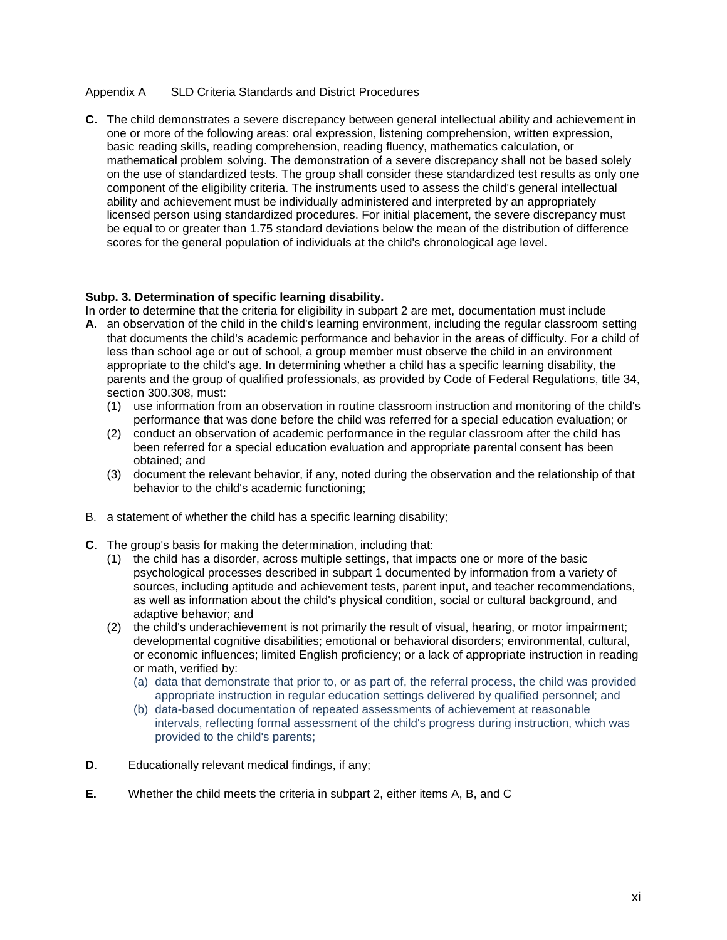#### Appendix A SLD Criteria Standards and District Procedures

**C.** The child demonstrates a severe discrepancy between general intellectual ability and achievement in one or more of the following areas: oral expression, listening comprehension, written expression, basic reading skills, reading comprehension, reading fluency, mathematics calculation, or mathematical problem solving. The demonstration of a severe discrepancy shall not be based solely on the use of standardized tests. The group shall consider these standardized test results as only one component of the eligibility criteria. The instruments used to assess the child's general intellectual ability and achievement must be individually administered and interpreted by an appropriately licensed person using standardized procedures. For initial placement, the severe discrepancy must be equal to or greater than 1.75 standard deviations below the mean of the distribution of difference scores for the general population of individuals at the child's chronological age level.

#### **Subp. 3. Determination of specific learning disability.**

In order to determine that the criteria for eligibility in subpart 2 are met, documentation must include

- **A**. an observation of the child in the child's learning environment, including the regular classroom setting that documents the child's academic performance and behavior in the areas of difficulty. For a child of less than school age or out of school, a group member must observe the child in an environment appropriate to the child's age. In determining whether a child has a specific learning disability, the parents and the group of qualified professionals, as provided by Code of Federal Regulations, title 34, section 300.308, must:
	- (1) use information from an observation in routine classroom instruction and monitoring of the child's performance that was done before the child was referred for a special education evaluation; or
	- (2) conduct an observation of academic performance in the regular classroom after the child has been referred for a special education evaluation and appropriate parental consent has been obtained; and
	- (3) document the relevant behavior, if any, noted during the observation and the relationship of that behavior to the child's academic functioning;
- B. a statement of whether the child has a specific learning disability;
- **C**. The group's basis for making the determination, including that:
	- (1) the child has a disorder, across multiple settings, that impacts one or more of the basic psychological processes described in subpart 1 documented by information from a variety of sources, including aptitude and achievement tests, parent input, and teacher recommendations, as well as information about the child's physical condition, social or cultural background, and adaptive behavior; and
	- (2) the child's underachievement is not primarily the result of visual, hearing, or motor impairment; developmental cognitive disabilities; emotional or behavioral disorders; environmental, cultural, or economic influences; limited English proficiency; or a lack of appropriate instruction in reading or math, verified by:
		- (a) data that demonstrate that prior to, or as part of, the referral process, the child was provided appropriate instruction in regular education settings delivered by qualified personnel; and
		- (b) data-based documentation of repeated assessments of achievement at reasonable intervals, reflecting formal assessment of the child's progress during instruction, which was provided to the child's parents;
- **D**. Educationally relevant medical findings, if any;
- **E.** Whether the child meets the criteria in subpart 2, either items A, B, and C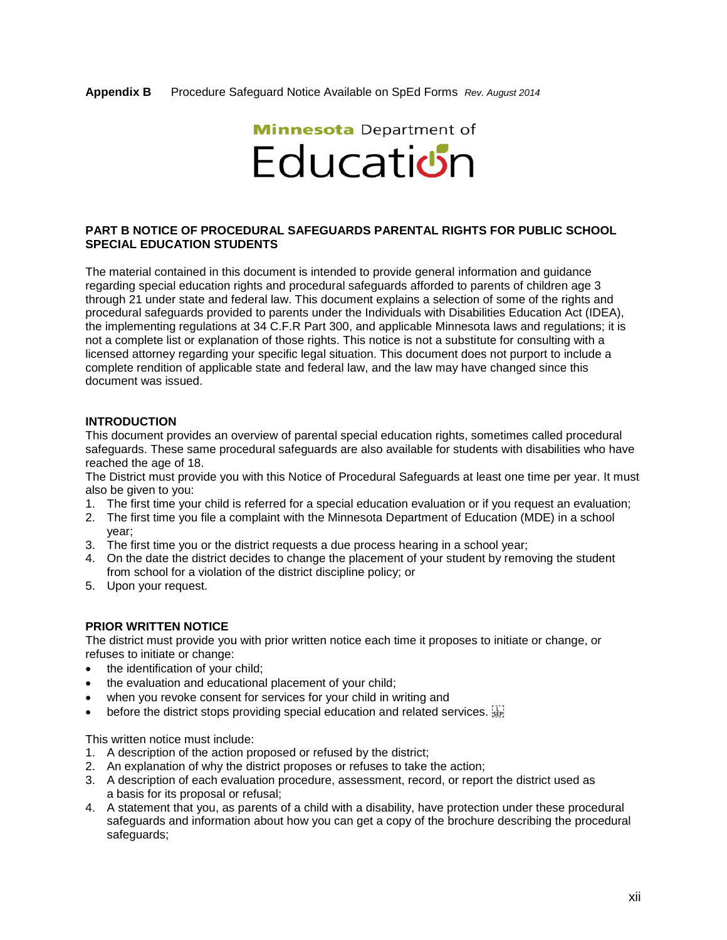# **Minnesota** Department of Education

#### **PART B NOTICE OF PROCEDURAL SAFEGUARDS PARENTAL RIGHTS FOR PUBLIC SCHOOL SPECIAL EDUCATION STUDENTS**

The material contained in this document is intended to provide general information and guidance regarding special education rights and procedural safeguards afforded to parents of children age 3 through 21 under state and federal law. This document explains a selection of some of the rights and procedural safeguards provided to parents under the Individuals with Disabilities Education Act (IDEA), the implementing regulations at 34 C.F.R Part 300, and applicable Minnesota laws and regulations; it is not a complete list or explanation of those rights. This notice is not a substitute for consulting with a licensed attorney regarding your specific legal situation. This document does not purport to include a complete rendition of applicable state and federal law, and the law may have changed since this document was issued.

#### **INTRODUCTION**

This document provides an overview of parental special education rights, sometimes called procedural safeguards. These same procedural safeguards are also available for students with disabilities who have reached the age of 18.

The District must provide you with this Notice of Procedural Safeguards at least one time per year. It must also be given to you:

- 1. The first time your child is referred for a special education evaluation or if you request an evaluation;
- 2. The first time you file a complaint with the Minnesota Department of Education (MDE) in a school year;
- 3. The first time you or the district requests a due process hearing in a school year;
- 4. On the date the district decides to change the placement of your student by removing the student from school for a violation of the district discipline policy; or
- 5. Upon your request.

#### **PRIOR WRITTEN NOTICE**

The district must provide you with prior written notice each time it proposes to initiate or change, or refuses to initiate or change:

- the identification of your child;
- the evaluation and educational placement of your child;
- when you revoke consent for services for your child in writing and
- before the district stops providing special education and related services.

This written notice must include:

- 1. A description of the action proposed or refused by the district;
- 2. An explanation of why the district proposes or refuses to take the action;
- 3. A description of each evaluation procedure, assessment, record, or report the district used as a basis for its proposal or refusal;
- 4. A statement that you, as parents of a child with a disability, have protection under these procedural safeguards and information about how you can get a copy of the brochure describing the procedural safeguards;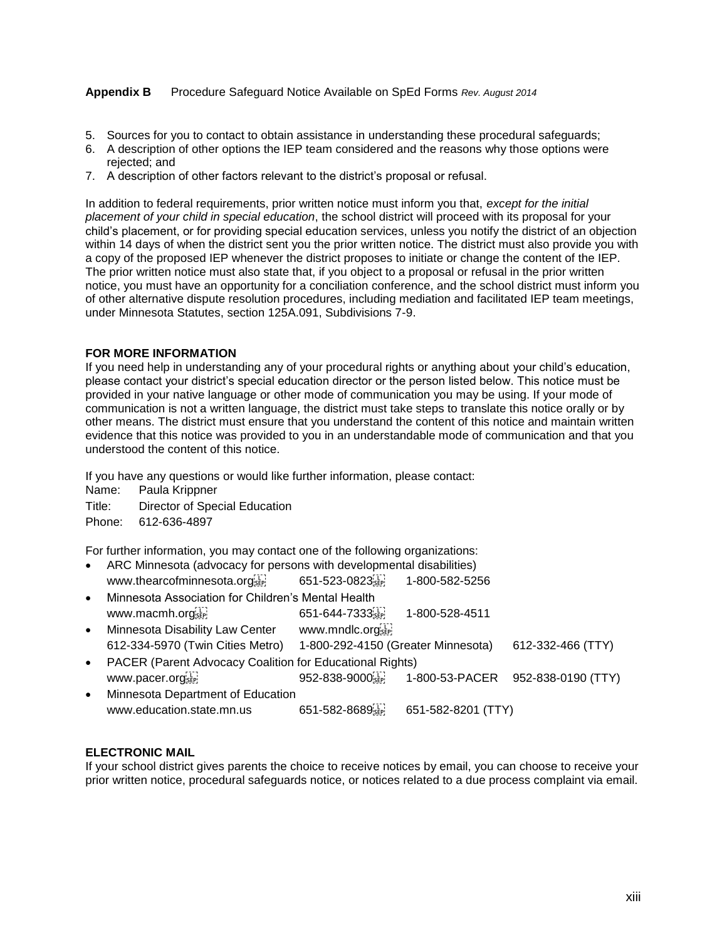- 5. Sources for you to contact to obtain assistance in understanding these procedural safeguards;
- 6. A description of other options the IEP team considered and the reasons why those options were rejected; and
- 7. A description of other factors relevant to the district's proposal or refusal.

In addition to federal requirements, prior written notice must inform you that, *except for the initial placement of your child in special education*, the school district will proceed with its proposal for your child's placement, or for providing special education services, unless you notify the district of an objection within 14 days of when the district sent you the prior written notice. The district must also provide you with a copy of the proposed IEP whenever the district proposes to initiate or change the content of the IEP. The prior written notice must also state that, if you object to a proposal or refusal in the prior written notice, you must have an opportunity for a conciliation conference, and the school district must inform you of other alternative dispute resolution procedures, including mediation and facilitated IEP team meetings, under Minnesota Statutes, section 125A.091, Subdivisions 7-9.

#### **FOR MORE INFORMATION**

If you need help in understanding any of your procedural rights or anything about your child's education, please contact your district's special education director or the person listed below. This notice must be provided in your native language or other mode of communication you may be using. If your mode of communication is not a written language, the district must take steps to translate this notice orally or by other means. The district must ensure that you understand the content of this notice and maintain written evidence that this notice was provided to you in an understandable mode of communication and that you understood the content of this notice.

If you have any questions or would like further information, please contact:

Name: Paula Krippner

Title: Director of Special Education

Phone: 612-636-4897

For further information, you may contact one of the following organizations:

- ARC Minnesota (advocacy for persons with developmental disabilities) www.thearcofminnesota.org 651-523-0823 1-800-582-5256
- Minnesota Association for Children's Mental Health www.macmh.org<sup>[17]</sup> 651-644-7333<sup>[17]</sup> 1-800-528-4511 Minnesota Disability Law Center www.mndlc.org
- 612-334-5970 (Twin Cities Metro) 1-800-292-4150 (Greater Minnesota) 612-332-466 (TTY) PACER (Parent Advocacy Coalition for Educational Rights)
- www.pacer.org [1] 952-838-9000 [1] 952-838-9000 [1] 952-838-9100 [1] 952-838-9100 [1] 952-838-9100 [ Minnesota Department of Education

| www.education.state.mn.us | $651 - 582 - 8689$ | 651-582-8201 (TTY) |
|---------------------------|--------------------|--------------------|

## **ELECTRONIC MAIL**

If your school district gives parents the choice to receive notices by email, you can choose to receive your prior written notice, procedural safeguards notice, or notices related to a due process complaint via email.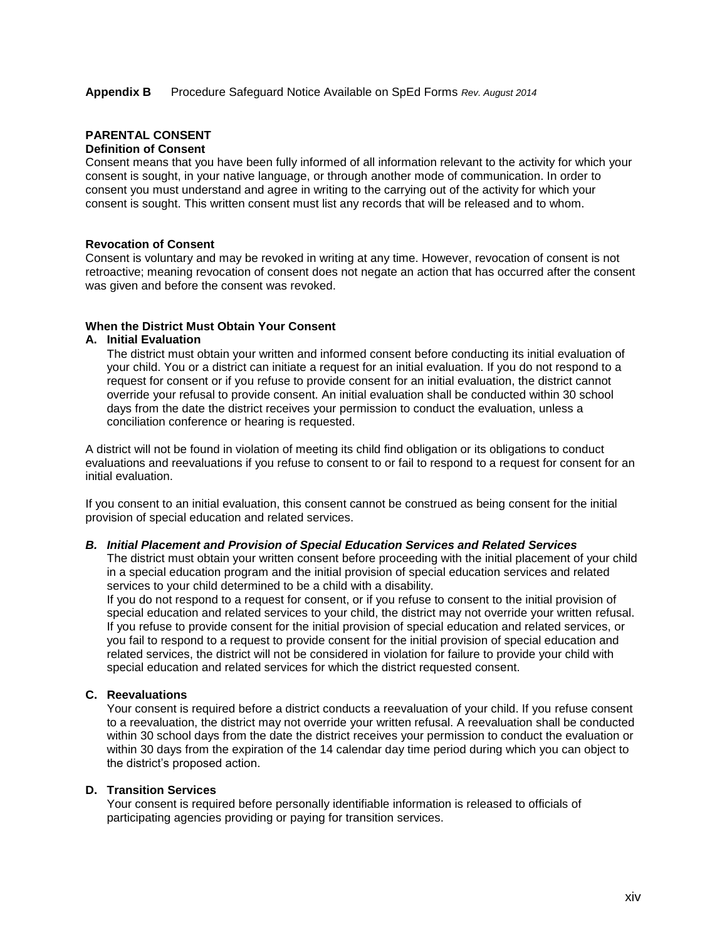## **PARENTAL CONSENT**

## **Definition of Consent**

Consent means that you have been fully informed of all information relevant to the activity for which your consent is sought, in your native language, or through another mode of communication. In order to consent you must understand and agree in writing to the carrying out of the activity for which your consent is sought. This written consent must list any records that will be released and to whom.

#### **Revocation of Consent**

Consent is voluntary and may be revoked in writing at any time. However, revocation of consent is not retroactive; meaning revocation of consent does not negate an action that has occurred after the consent was given and before the consent was revoked.

#### **When the District Must Obtain Your Consent**

#### **A. Initial Evaluation**

The district must obtain your written and informed consent before conducting its initial evaluation of your child. You or a district can initiate a request for an initial evaluation. If you do not respond to a request for consent or if you refuse to provide consent for an initial evaluation, the district cannot override your refusal to provide consent. An initial evaluation shall be conducted within 30 school days from the date the district receives your permission to conduct the evaluation, unless a conciliation conference or hearing is requested.

A district will not be found in violation of meeting its child find obligation or its obligations to conduct evaluations and reevaluations if you refuse to consent to or fail to respond to a request for consent for an initial evaluation.

If you consent to an initial evaluation, this consent cannot be construed as being consent for the initial provision of special education and related services.

#### *B. Initial Placement and Provision of Special Education Services and Related Services*

The district must obtain your written consent before proceeding with the initial placement of your child in a special education program and the initial provision of special education services and related services to your child determined to be a child with a disability.

If you do not respond to a request for consent, or if you refuse to consent to the initial provision of special education and related services to your child, the district may not override your written refusal. If you refuse to provide consent for the initial provision of special education and related services, or you fail to respond to a request to provide consent for the initial provision of special education and related services, the district will not be considered in violation for failure to provide your child with special education and related services for which the district requested consent.

#### **C. Reevaluations**

Your consent is required before a district conducts a reevaluation of your child. If you refuse consent to a reevaluation, the district may not override your written refusal. A reevaluation shall be conducted within 30 school days from the date the district receives your permission to conduct the evaluation or within 30 days from the expiration of the 14 calendar day time period during which you can object to the district's proposed action.

#### **D. Transition Services**

Your consent is required before personally identifiable information is released to officials of participating agencies providing or paying for transition services.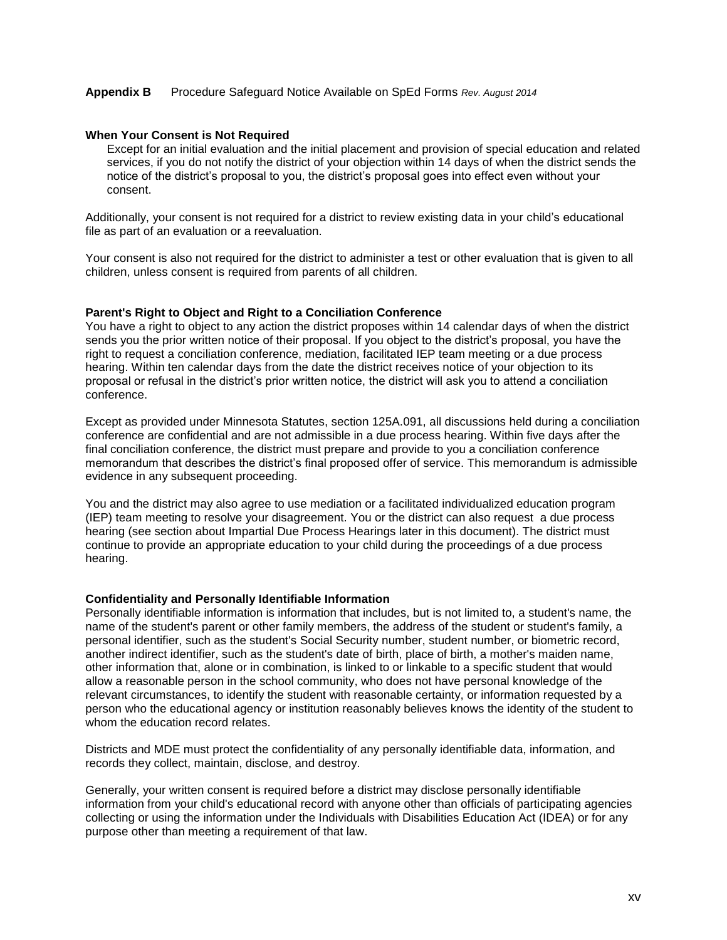#### **When Your Consent is Not Required**

Except for an initial evaluation and the initial placement and provision of special education and related services, if you do not notify the district of your objection within 14 days of when the district sends the notice of the district's proposal to you, the district's proposal goes into effect even without your consent.

Additionally, your consent is not required for a district to review existing data in your child's educational file as part of an evaluation or a reevaluation.

Your consent is also not required for the district to administer a test or other evaluation that is given to all children, unless consent is required from parents of all children.

#### **Parent's Right to Object and Right to a Conciliation Conference**

You have a right to object to any action the district proposes within 14 calendar days of when the district sends you the prior written notice of their proposal. If you object to the district's proposal, you have the right to request a conciliation conference, mediation, facilitated IEP team meeting or a due process hearing. Within ten calendar days from the date the district receives notice of your objection to its proposal or refusal in the district's prior written notice, the district will ask you to attend a conciliation conference.

Except as provided under Minnesota Statutes, section 125A.091, all discussions held during a conciliation conference are confidential and are not admissible in a due process hearing. Within five days after the final conciliation conference, the district must prepare and provide to you a conciliation conference memorandum that describes the district's final proposed offer of service. This memorandum is admissible evidence in any subsequent proceeding.

You and the district may also agree to use mediation or a facilitated individualized education program (IEP) team meeting to resolve your disagreement. You or the district can also request a due process hearing (see section about Impartial Due Process Hearings later in this document). The district must continue to provide an appropriate education to your child during the proceedings of a due process hearing.

#### **Confidentiality and Personally Identifiable Information**

Personally identifiable information is information that includes, but is not limited to, a student's name, the name of the student's parent or other family members, the address of the student or student's family, a personal identifier, such as the student's Social Security number, student number, or biometric record, another indirect identifier, such as the student's date of birth, place of birth, a mother's maiden name, other information that, alone or in combination, is linked to or linkable to a specific student that would allow a reasonable person in the school community, who does not have personal knowledge of the relevant circumstances, to identify the student with reasonable certainty, or information requested by a person who the educational agency or institution reasonably believes knows the identity of the student to whom the education record relates.

Districts and MDE must protect the confidentiality of any personally identifiable data, information, and records they collect, maintain, disclose, and destroy.

Generally, your written consent is required before a district may disclose personally identifiable information from your child's educational record with anyone other than officials of participating agencies collecting or using the information under the Individuals with Disabilities Education Act (IDEA) or for any purpose other than meeting a requirement of that law.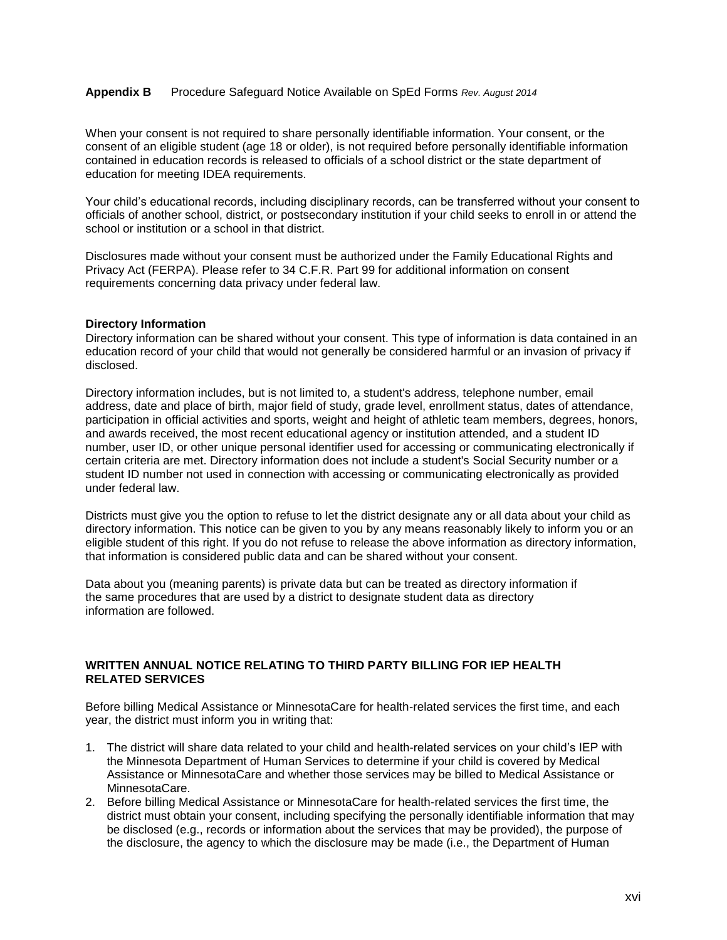When your consent is not required to share personally identifiable information. Your consent, or the consent of an eligible student (age 18 or older), is not required before personally identifiable information contained in education records is released to officials of a school district or the state department of education for meeting IDEA requirements.

Your child's educational records, including disciplinary records, can be transferred without your consent to officials of another school, district, or postsecondary institution if your child seeks to enroll in or attend the school or institution or a school in that district.

Disclosures made without your consent must be authorized under the Family Educational Rights and Privacy Act (FERPA). Please refer to 34 C.F.R. Part 99 for additional information on consent requirements concerning data privacy under federal law.

#### **Directory Information**

Directory information can be shared without your consent. This type of information is data contained in an education record of your child that would not generally be considered harmful or an invasion of privacy if disclosed.

Directory information includes, but is not limited to, a student's address, telephone number, email address, date and place of birth, major field of study, grade level, enrollment status, dates of attendance, participation in official activities and sports, weight and height of athletic team members, degrees, honors, and awards received, the most recent educational agency or institution attended, and a student ID number, user ID, or other unique personal identifier used for accessing or communicating electronically if certain criteria are met. Directory information does not include a student's Social Security number or a student ID number not used in connection with accessing or communicating electronically as provided under federal law.

Districts must give you the option to refuse to let the district designate any or all data about your child as directory information. This notice can be given to you by any means reasonably likely to inform you or an eligible student of this right. If you do not refuse to release the above information as directory information, that information is considered public data and can be shared without your consent.

Data about you (meaning parents) is private data but can be treated as directory information if the same procedures that are used by a district to designate student data as directory information are followed.

#### **WRITTEN ANNUAL NOTICE RELATING TO THIRD PARTY BILLING FOR IEP HEALTH RELATED SERVICES**

Before billing Medical Assistance or MinnesotaCare for health-related services the first time, and each year, the district must inform you in writing that:

- 1. The district will share data related to your child and health-related services on your child's IEP with the Minnesota Department of Human Services to determine if your child is covered by Medical Assistance or MinnesotaCare and whether those services may be billed to Medical Assistance or MinnesotaCare.
- 2. Before billing Medical Assistance or MinnesotaCare for health-related services the first time, the district must obtain your consent, including specifying the personally identifiable information that may be disclosed (e.g., records or information about the services that may be provided), the purpose of the disclosure, the agency to which the disclosure may be made (i.e., the Department of Human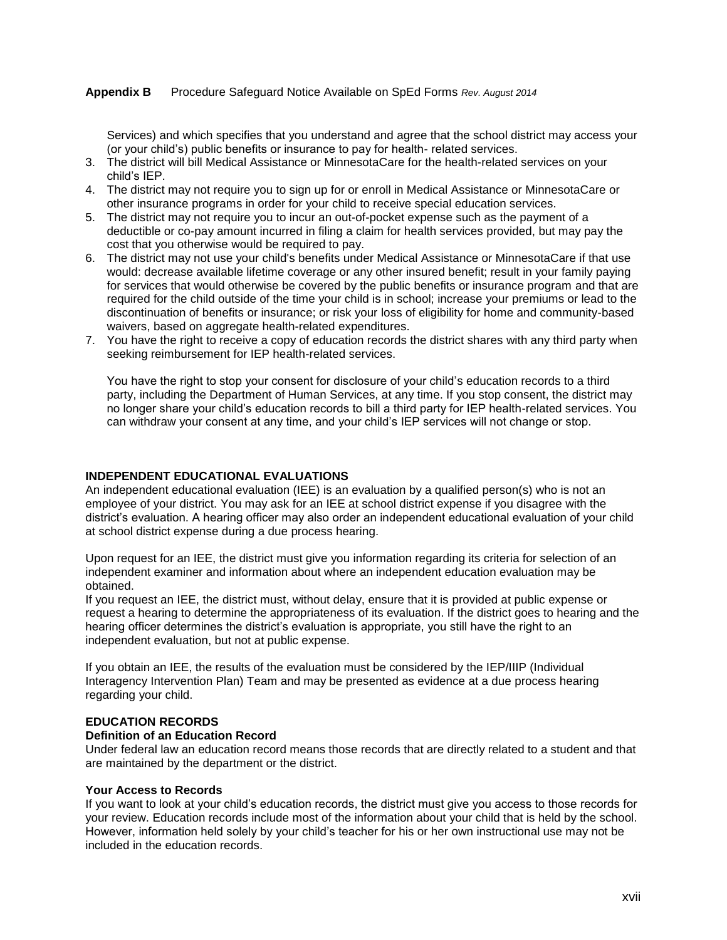Services) and which specifies that you understand and agree that the school district may access your (or your child's) public benefits or insurance to pay for health- related services.

- 3. The district will bill Medical Assistance or MinnesotaCare for the health-related services on your child's IEP.
- 4. The district may not require you to sign up for or enroll in Medical Assistance or MinnesotaCare or other insurance programs in order for your child to receive special education services.
- 5. The district may not require you to incur an out-of-pocket expense such as the payment of a deductible or co-pay amount incurred in filing a claim for health services provided, but may pay the cost that you otherwise would be required to pay.
- 6. The district may not use your child's benefits under Medical Assistance or MinnesotaCare if that use would: decrease available lifetime coverage or any other insured benefit; result in your family paying for services that would otherwise be covered by the public benefits or insurance program and that are required for the child outside of the time your child is in school; increase your premiums or lead to the discontinuation of benefits or insurance; or risk your loss of eligibility for home and community-based waivers, based on aggregate health-related expenditures.
- 7. You have the right to receive a copy of education records the district shares with any third party when seeking reimbursement for IEP health-related services.

You have the right to stop your consent for disclosure of your child's education records to a third party, including the Department of Human Services, at any time. If you stop consent, the district may no longer share your child's education records to bill a third party for IEP health-related services. You can withdraw your consent at any time, and your child's IEP services will not change or stop.

#### **INDEPENDENT EDUCATIONAL EVALUATIONS**

An independent educational evaluation (IEE) is an evaluation by a qualified person(s) who is not an employee of your district. You may ask for an IEE at school district expense if you disagree with the district's evaluation. A hearing officer may also order an independent educational evaluation of your child at school district expense during a due process hearing.

Upon request for an IEE, the district must give you information regarding its criteria for selection of an independent examiner and information about where an independent education evaluation may be obtained.

If you request an IEE, the district must, without delay, ensure that it is provided at public expense or request a hearing to determine the appropriateness of its evaluation. If the district goes to hearing and the hearing officer determines the district's evaluation is appropriate, you still have the right to an independent evaluation, but not at public expense.

If you obtain an IEE, the results of the evaluation must be considered by the IEP/IIIP (Individual Interagency Intervention Plan) Team and may be presented as evidence at a due process hearing regarding your child.

#### **EDUCATION RECORDS**

#### **Definition of an Education Record**

Under federal law an education record means those records that are directly related to a student and that are maintained by the department or the district.

#### **Your Access to Records**

If you want to look at your child's education records, the district must give you access to those records for your review. Education records include most of the information about your child that is held by the school. However, information held solely by your child's teacher for his or her own instructional use may not be included in the education records.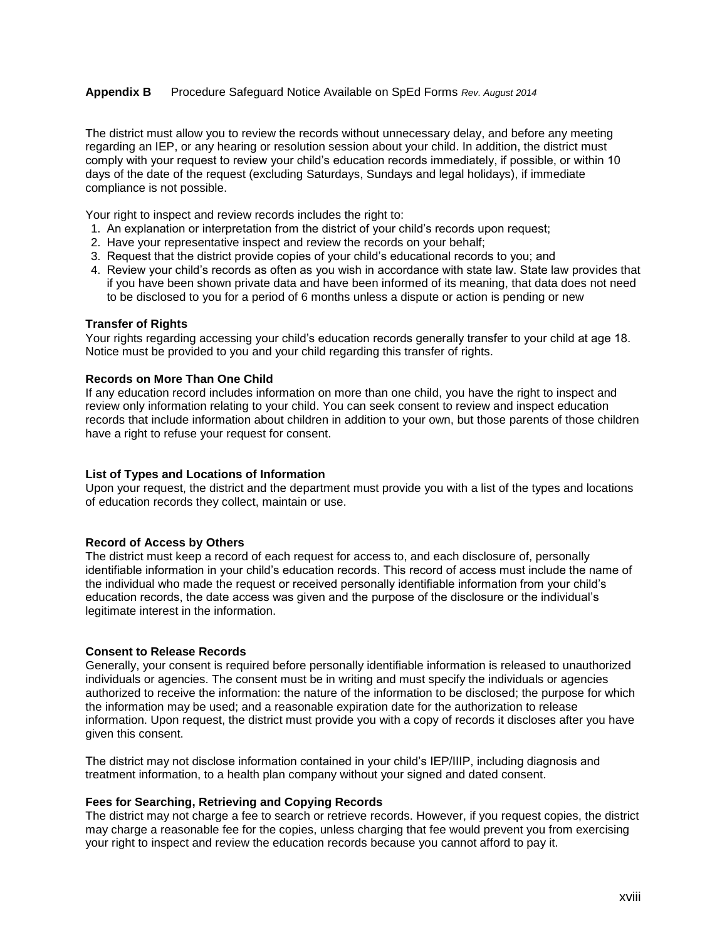The district must allow you to review the records without unnecessary delay, and before any meeting regarding an IEP, or any hearing or resolution session about your child. In addition, the district must comply with your request to review your child's education records immediately, if possible, or within 10 days of the date of the request (excluding Saturdays, Sundays and legal holidays), if immediate compliance is not possible.

Your right to inspect and review records includes the right to:

- 1. An explanation or interpretation from the district of your child's records upon request;
- 2. Have your representative inspect and review the records on your behalf;
- 3. Request that the district provide copies of your child's educational records to you; and
- 4. Review your child's records as often as you wish in accordance with state law. State law provides that if you have been shown private data and have been informed of its meaning, that data does not need to be disclosed to you for a period of 6 months unless a dispute or action is pending or new

#### **Transfer of Rights**

Your rights regarding accessing your child's education records generally transfer to your child at age 18. Notice must be provided to you and your child regarding this transfer of rights.

#### **Records on More Than One Child**

If any education record includes information on more than one child, you have the right to inspect and review only information relating to your child. You can seek consent to review and inspect education records that include information about children in addition to your own, but those parents of those children have a right to refuse your request for consent.

#### **List of Types and Locations of Information**

Upon your request, the district and the department must provide you with a list of the types and locations of education records they collect, maintain or use.

#### **Record of Access by Others**

The district must keep a record of each request for access to, and each disclosure of, personally identifiable information in your child's education records. This record of access must include the name of the individual who made the request or received personally identifiable information from your child's education records, the date access was given and the purpose of the disclosure or the individual's legitimate interest in the information.

#### **Consent to Release Records**

Generally, your consent is required before personally identifiable information is released to unauthorized individuals or agencies. The consent must be in writing and must specify the individuals or agencies authorized to receive the information: the nature of the information to be disclosed; the purpose for which the information may be used; and a reasonable expiration date for the authorization to release information. Upon request, the district must provide you with a copy of records it discloses after you have given this consent.

The district may not disclose information contained in your child's IEP/IIIP, including diagnosis and treatment information, to a health plan company without your signed and dated consent.

#### **Fees for Searching, Retrieving and Copying Records**

The district may not charge a fee to search or retrieve records. However, if you request copies, the district may charge a reasonable fee for the copies, unless charging that fee would prevent you from exercising your right to inspect and review the education records because you cannot afford to pay it.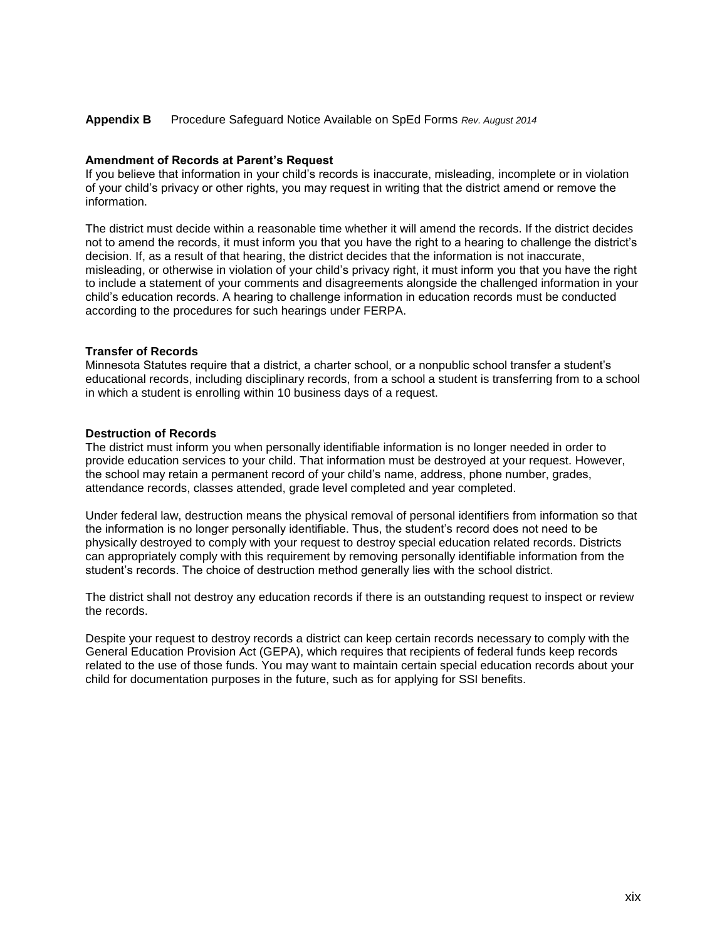#### **Amendment of Records at Parent's Request**

If you believe that information in your child's records is inaccurate, misleading, incomplete or in violation of your child's privacy or other rights, you may request in writing that the district amend or remove the information.

The district must decide within a reasonable time whether it will amend the records. If the district decides not to amend the records, it must inform you that you have the right to a hearing to challenge the district's decision. If, as a result of that hearing, the district decides that the information is not inaccurate, misleading, or otherwise in violation of your child's privacy right, it must inform you that you have the right to include a statement of your comments and disagreements alongside the challenged information in your child's education records. A hearing to challenge information in education records must be conducted according to the procedures for such hearings under FERPA.

#### **Transfer of Records**

Minnesota Statutes require that a district, a charter school, or a nonpublic school transfer a student's educational records, including disciplinary records, from a school a student is transferring from to a school in which a student is enrolling within 10 business days of a request.

#### **Destruction of Records**

The district must inform you when personally identifiable information is no longer needed in order to provide education services to your child. That information must be destroyed at your request. However, the school may retain a permanent record of your child's name, address, phone number, grades, attendance records, classes attended, grade level completed and year completed.

Under federal law, destruction means the physical removal of personal identifiers from information so that the information is no longer personally identifiable. Thus, the student's record does not need to be physically destroyed to comply with your request to destroy special education related records. Districts can appropriately comply with this requirement by removing personally identifiable information from the student's records. The choice of destruction method generally lies with the school district.

The district shall not destroy any education records if there is an outstanding request to inspect or review the records.

Despite your request to destroy records a district can keep certain records necessary to comply with the General Education Provision Act (GEPA), which requires that recipients of federal funds keep records related to the use of those funds. You may want to maintain certain special education records about your child for documentation purposes in the future, such as for applying for SSI benefits.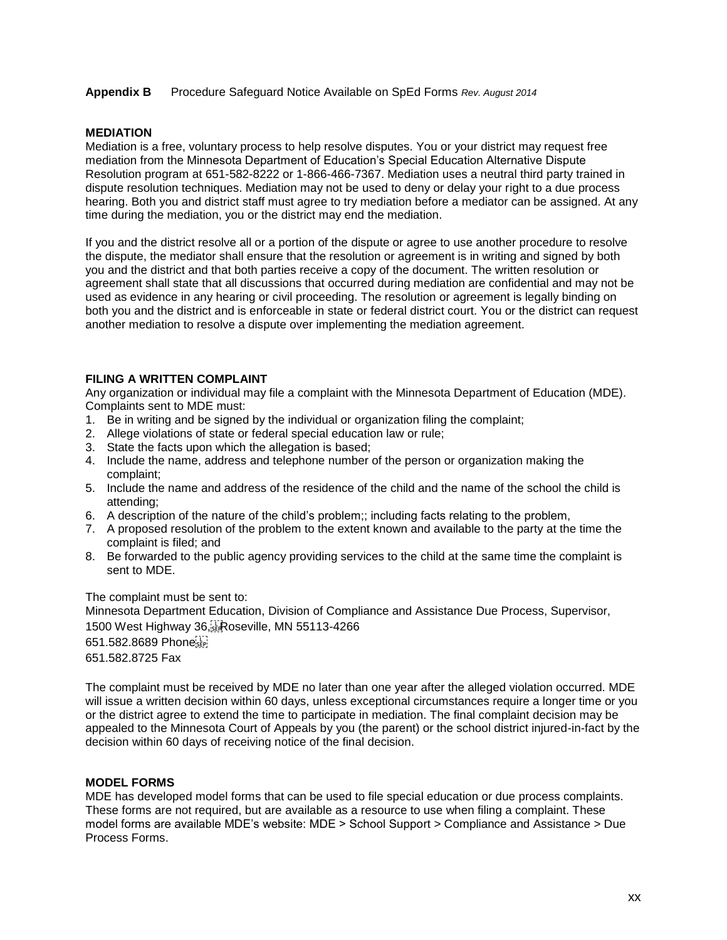#### **MEDIATION**

Mediation is a free, voluntary process to help resolve disputes. You or your district may request free mediation from the Minnesota Department of Education's Special Education Alternative Dispute Resolution program at 651-582-8222 or 1-866-466-7367. Mediation uses a neutral third party trained in dispute resolution techniques. Mediation may not be used to deny or delay your right to a due process hearing. Both you and district staff must agree to try mediation before a mediator can be assigned. At any time during the mediation, you or the district may end the mediation.

If you and the district resolve all or a portion of the dispute or agree to use another procedure to resolve the dispute, the mediator shall ensure that the resolution or agreement is in writing and signed by both you and the district and that both parties receive a copy of the document. The written resolution or agreement shall state that all discussions that occurred during mediation are confidential and may not be used as evidence in any hearing or civil proceeding. The resolution or agreement is legally binding on both you and the district and is enforceable in state or federal district court. You or the district can request another mediation to resolve a dispute over implementing the mediation agreement.

#### **FILING A WRITTEN COMPLAINT**

Any organization or individual may file a complaint with the Minnesota Department of Education (MDE). Complaints sent to MDE must:

- 1. Be in writing and be signed by the individual or organization filing the complaint;
- 2. Allege violations of state or federal special education law or rule;
- 3. State the facts upon which the allegation is based;
- 4. Include the name, address and telephone number of the person or organization making the complaint;
- 5. Include the name and address of the residence of the child and the name of the school the child is attending;
- 6. A description of the nature of the child's problem;; including facts relating to the problem,
- 7. A proposed resolution of the problem to the extent known and available to the party at the time the complaint is filed; and
- 8. Be forwarded to the public agency providing services to the child at the same time the complaint is sent to MDE.

The complaint must be sent to: Minnesota Department Education, Division of Compliance and Assistance Due Process, Supervisor, 1500 West Highway 36, Roseville, MN 55113-4266 651.582.8689 Phone 651.582.8725 Fax

The complaint must be received by MDE no later than one year after the alleged violation occurred. MDE will issue a written decision within 60 days, unless exceptional circumstances require a longer time or you or the district agree to extend the time to participate in mediation. The final complaint decision may be appealed to the Minnesota Court of Appeals by you (the parent) or the school district injured-in-fact by the decision within 60 days of receiving notice of the final decision.

#### **MODEL FORMS**

MDE has developed model forms that can be used to file special education or due process complaints. These forms are not required, but are available as a resource to use when filing a complaint. These model forms are available MDE's website: MDE > School Support > Compliance and Assistance > Due Process Forms.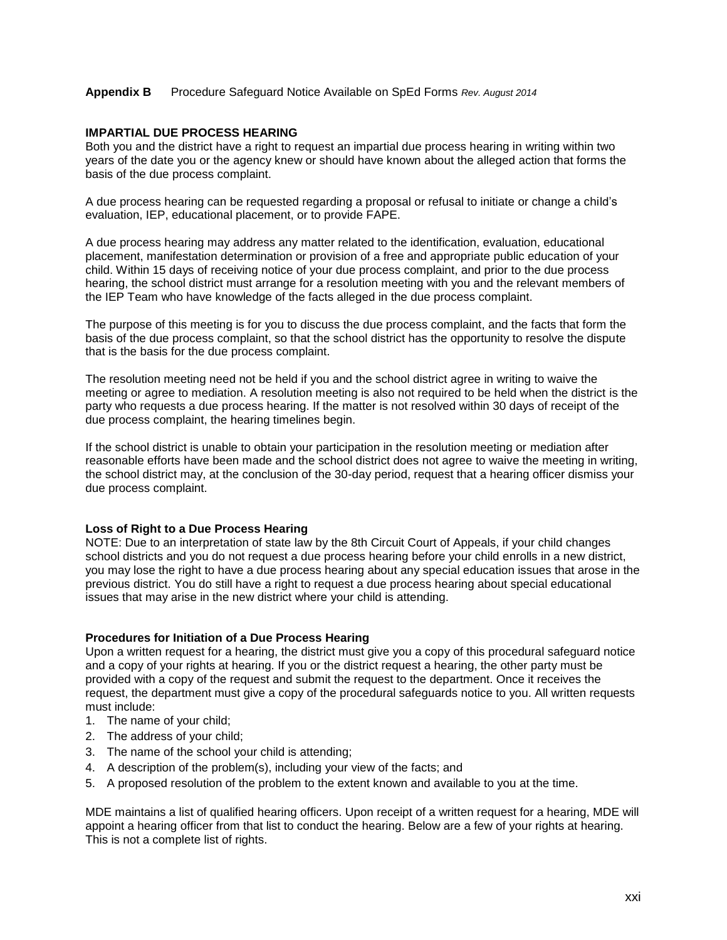#### **IMPARTIAL DUE PROCESS HEARING**

Both you and the district have a right to request an impartial due process hearing in writing within two years of the date you or the agency knew or should have known about the alleged action that forms the basis of the due process complaint.

A due process hearing can be requested regarding a proposal or refusal to initiate or change a child's evaluation, IEP, educational placement, or to provide FAPE.

A due process hearing may address any matter related to the identification, evaluation, educational placement, manifestation determination or provision of a free and appropriate public education of your child. Within 15 days of receiving notice of your due process complaint, and prior to the due process hearing, the school district must arrange for a resolution meeting with you and the relevant members of the IEP Team who have knowledge of the facts alleged in the due process complaint.

The purpose of this meeting is for you to discuss the due process complaint, and the facts that form the basis of the due process complaint, so that the school district has the opportunity to resolve the dispute that is the basis for the due process complaint.

The resolution meeting need not be held if you and the school district agree in writing to waive the meeting or agree to mediation. A resolution meeting is also not required to be held when the district is the party who requests a due process hearing. If the matter is not resolved within 30 days of receipt of the due process complaint, the hearing timelines begin.

If the school district is unable to obtain your participation in the resolution meeting or mediation after reasonable efforts have been made and the school district does not agree to waive the meeting in writing, the school district may, at the conclusion of the 30-day period, request that a hearing officer dismiss your due process complaint.

#### **Loss of Right to a Due Process Hearing**

NOTE: Due to an interpretation of state law by the 8th Circuit Court of Appeals, if your child changes school districts and you do not request a due process hearing before your child enrolls in a new district, you may lose the right to have a due process hearing about any special education issues that arose in the previous district. You do still have a right to request a due process hearing about special educational issues that may arise in the new district where your child is attending.

#### **Procedures for Initiation of a Due Process Hearing**

Upon a written request for a hearing, the district must give you a copy of this procedural safeguard notice and a copy of your rights at hearing. If you or the district request a hearing, the other party must be provided with a copy of the request and submit the request to the department. Once it receives the request, the department must give a copy of the procedural safeguards notice to you. All written requests must include:

- 1. The name of your child;
- 2. The address of your child;
- 3. The name of the school your child is attending;
- 4. A description of the problem(s), including your view of the facts; and
- 5. A proposed resolution of the problem to the extent known and available to you at the time.

MDE maintains a list of qualified hearing officers. Upon receipt of a written request for a hearing, MDE will appoint a hearing officer from that list to conduct the hearing. Below are a few of your rights at hearing. This is not a complete list of rights.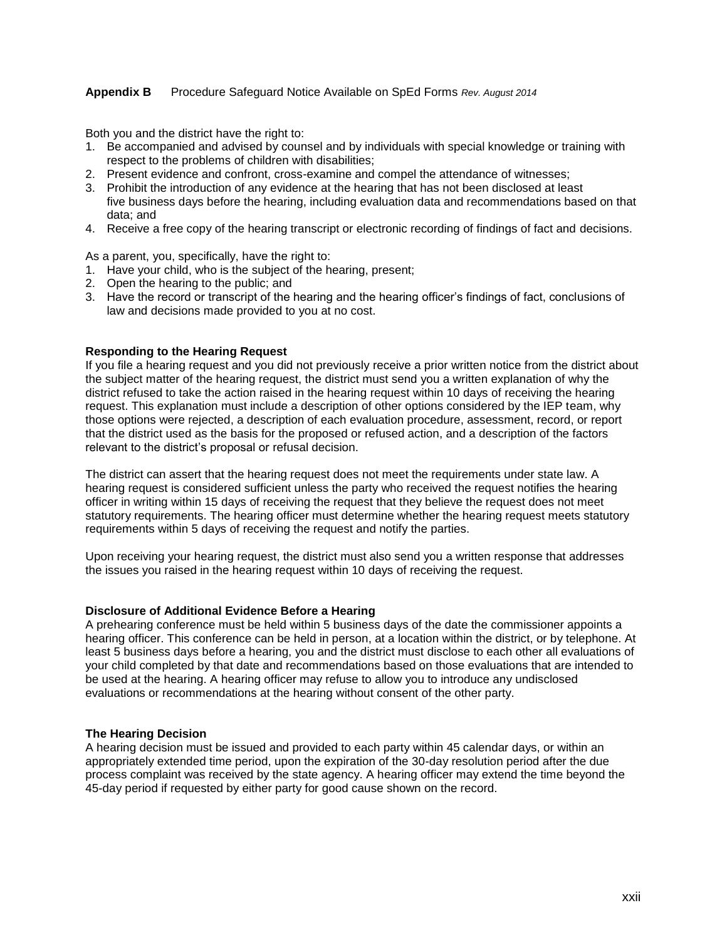Both you and the district have the right to:

- 1. Be accompanied and advised by counsel and by individuals with special knowledge or training with respect to the problems of children with disabilities;
- 2. Present evidence and confront, cross-examine and compel the attendance of witnesses;
- 3. Prohibit the introduction of any evidence at the hearing that has not been disclosed at least five business days before the hearing, including evaluation data and recommendations based on that data; and
- 4. Receive a free copy of the hearing transcript or electronic recording of findings of fact and decisions.

As a parent, you, specifically, have the right to:

- 1. Have your child, who is the subject of the hearing, present;
- 2. Open the hearing to the public; and
- 3. Have the record or transcript of the hearing and the hearing officer's findings of fact, conclusions of law and decisions made provided to you at no cost.

#### **Responding to the Hearing Request**

If you file a hearing request and you did not previously receive a prior written notice from the district about the subject matter of the hearing request, the district must send you a written explanation of why the district refused to take the action raised in the hearing request within 10 days of receiving the hearing request. This explanation must include a description of other options considered by the IEP team, why those options were rejected, a description of each evaluation procedure, assessment, record, or report that the district used as the basis for the proposed or refused action, and a description of the factors relevant to the district's proposal or refusal decision.

The district can assert that the hearing request does not meet the requirements under state law. A hearing request is considered sufficient unless the party who received the request notifies the hearing officer in writing within 15 days of receiving the request that they believe the request does not meet statutory requirements. The hearing officer must determine whether the hearing request meets statutory requirements within 5 days of receiving the request and notify the parties.

Upon receiving your hearing request, the district must also send you a written response that addresses the issues you raised in the hearing request within 10 days of receiving the request.

#### **Disclosure of Additional Evidence Before a Hearing**

A prehearing conference must be held within 5 business days of the date the commissioner appoints a hearing officer. This conference can be held in person, at a location within the district, or by telephone. At least 5 business days before a hearing, you and the district must disclose to each other all evaluations of your child completed by that date and recommendations based on those evaluations that are intended to be used at the hearing. A hearing officer may refuse to allow you to introduce any undisclosed evaluations or recommendations at the hearing without consent of the other party.

#### **The Hearing Decision**

A hearing decision must be issued and provided to each party within 45 calendar days, or within an appropriately extended time period, upon the expiration of the 30-day resolution period after the due process complaint was received by the state agency. A hearing officer may extend the time beyond the 45-day period if requested by either party for good cause shown on the record.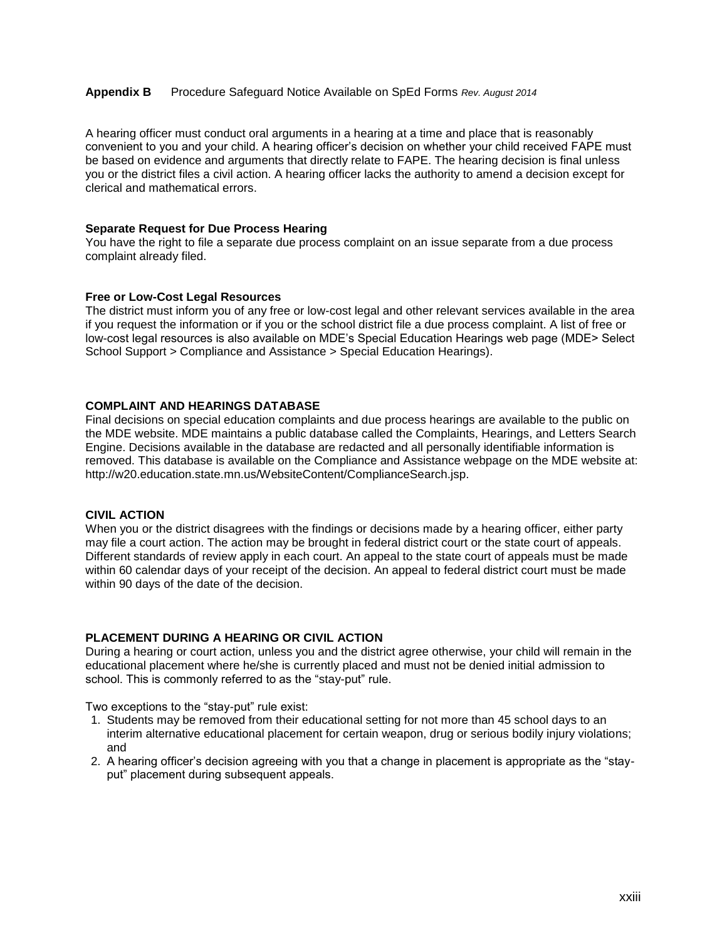A hearing officer must conduct oral arguments in a hearing at a time and place that is reasonably convenient to you and your child. A hearing officer's decision on whether your child received FAPE must be based on evidence and arguments that directly relate to FAPE. The hearing decision is final unless you or the district files a civil action. A hearing officer lacks the authority to amend a decision except for clerical and mathematical errors.

#### **Separate Request for Due Process Hearing**

You have the right to file a separate due process complaint on an issue separate from a due process complaint already filed.

#### **Free or Low-Cost Legal Resources**

The district must inform you of any free or low-cost legal and other relevant services available in the area if you request the information or if you or the school district file a due process complaint. A list of free or low-cost legal resources is also available on MDE's Special Education Hearings web page (MDE> Select School Support > Compliance and Assistance > Special Education Hearings).

#### **COMPLAINT AND HEARINGS DATABASE**

Final decisions on special education complaints and due process hearings are available to the public on the MDE website. MDE maintains a public database called the Complaints, Hearings, and Letters Search Engine. Decisions available in the database are redacted and all personally identifiable information is removed. This database is available on the Compliance and Assistance webpage on the MDE website at: http://w20.education.state.mn.us/WebsiteContent/ComplianceSearch.jsp.

#### **CIVIL ACTION**

When you or the district disagrees with the findings or decisions made by a hearing officer, either party may file a court action. The action may be brought in federal district court or the state court of appeals. Different standards of review apply in each court. An appeal to the state court of appeals must be made within 60 calendar days of your receipt of the decision. An appeal to federal district court must be made within 90 days of the date of the decision.

#### **PLACEMENT DURING A HEARING OR CIVIL ACTION**

During a hearing or court action, unless you and the district agree otherwise, your child will remain in the educational placement where he/she is currently placed and must not be denied initial admission to school. This is commonly referred to as the "stay-put" rule.

Two exceptions to the "stay-put" rule exist:

- 1. Students may be removed from their educational setting for not more than 45 school days to an interim alternative educational placement for certain weapon, drug or serious bodily injury violations; and
- 2. A hearing officer's decision agreeing with you that a change in placement is appropriate as the "stayput" placement during subsequent appeals.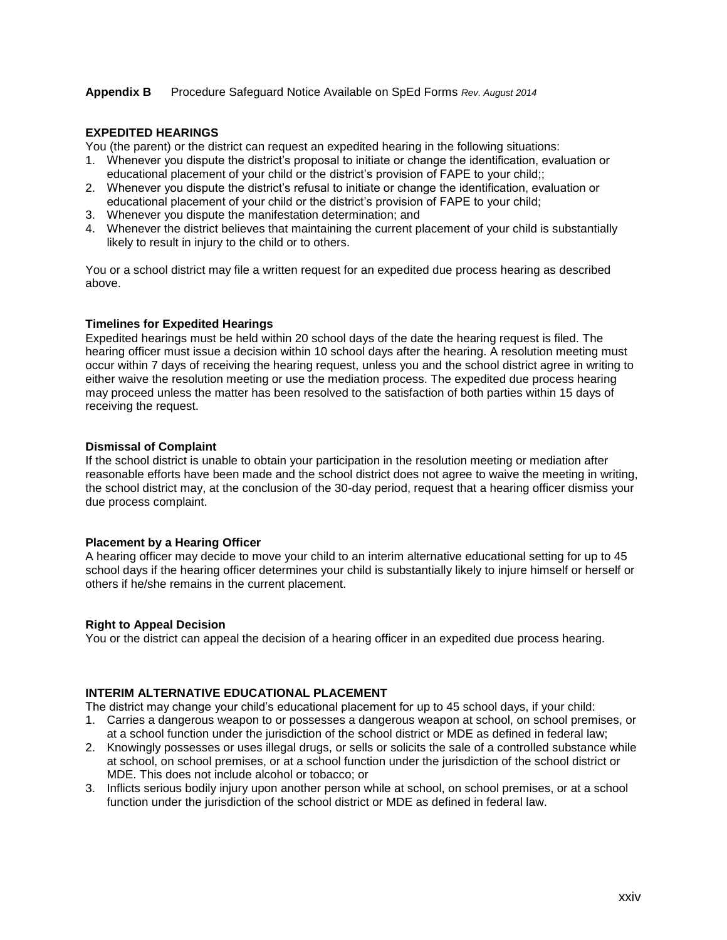#### **EXPEDITED HEARINGS**

You (the parent) or the district can request an expedited hearing in the following situations:

- 1. Whenever you dispute the district's proposal to initiate or change the identification, evaluation or educational placement of your child or the district's provision of FAPE to your child;;
- 2. Whenever you dispute the district's refusal to initiate or change the identification, evaluation or educational placement of your child or the district's provision of FAPE to your child;
- 3. Whenever you dispute the manifestation determination; and
- 4. Whenever the district believes that maintaining the current placement of your child is substantially likely to result in injury to the child or to others.

You or a school district may file a written request for an expedited due process hearing as described above.

#### **Timelines for Expedited Hearings**

Expedited hearings must be held within 20 school days of the date the hearing request is filed. The hearing officer must issue a decision within 10 school days after the hearing. A resolution meeting must occur within 7 days of receiving the hearing request, unless you and the school district agree in writing to either waive the resolution meeting or use the mediation process. The expedited due process hearing may proceed unless the matter has been resolved to the satisfaction of both parties within 15 days of receiving the request.

#### **Dismissal of Complaint**

If the school district is unable to obtain your participation in the resolution meeting or mediation after reasonable efforts have been made and the school district does not agree to waive the meeting in writing, the school district may, at the conclusion of the 30-day period, request that a hearing officer dismiss your due process complaint.

#### **Placement by a Hearing Officer**

A hearing officer may decide to move your child to an interim alternative educational setting for up to 45 school days if the hearing officer determines your child is substantially likely to injure himself or herself or others if he/she remains in the current placement.

#### **Right to Appeal Decision**

You or the district can appeal the decision of a hearing officer in an expedited due process hearing.

#### **INTERIM ALTERNATIVE EDUCATIONAL PLACEMENT**

The district may change your child's educational placement for up to 45 school days, if your child:

- 1. Carries a dangerous weapon to or possesses a dangerous weapon at school, on school premises, or at a school function under the jurisdiction of the school district or MDE as defined in federal law;
- 2. Knowingly possesses or uses illegal drugs, or sells or solicits the sale of a controlled substance while at school, on school premises, or at a school function under the jurisdiction of the school district or MDE. This does not include alcohol or tobacco; or
- 3. Inflicts serious bodily injury upon another person while at school, on school premises, or at a school function under the jurisdiction of the school district or MDE as defined in federal law.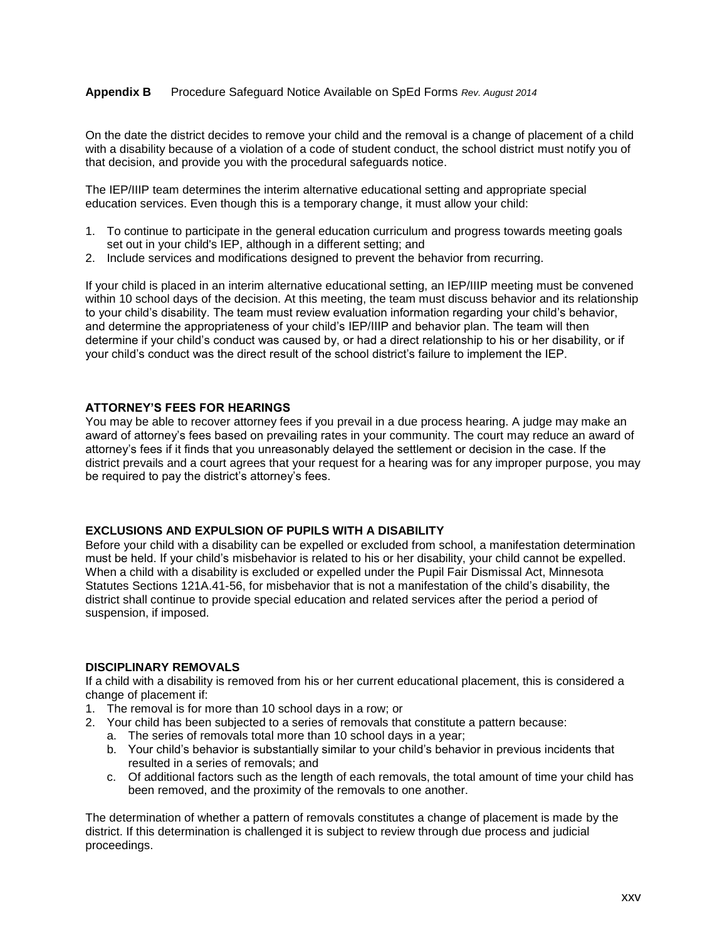On the date the district decides to remove your child and the removal is a change of placement of a child with a disability because of a violation of a code of student conduct, the school district must notify you of that decision, and provide you with the procedural safeguards notice.

The IEP/IIIP team determines the interim alternative educational setting and appropriate special education services. Even though this is a temporary change, it must allow your child:

- 1. To continue to participate in the general education curriculum and progress towards meeting goals set out in your child's IEP, although in a different setting; and
- 2. Include services and modifications designed to prevent the behavior from recurring.

If your child is placed in an interim alternative educational setting, an IEP/IIIP meeting must be convened within 10 school days of the decision. At this meeting, the team must discuss behavior and its relationship to your child's disability. The team must review evaluation information regarding your child's behavior, and determine the appropriateness of your child's IEP/IIIP and behavior plan. The team will then determine if your child's conduct was caused by, or had a direct relationship to his or her disability, or if your child's conduct was the direct result of the school district's failure to implement the IEP.

#### **ATTORNEY'S FEES FOR HEARINGS**

You may be able to recover attorney fees if you prevail in a due process hearing. A judge may make an award of attorney's fees based on prevailing rates in your community. The court may reduce an award of attorney's fees if it finds that you unreasonably delayed the settlement or decision in the case. If the district prevails and a court agrees that your request for a hearing was for any improper purpose, you may be required to pay the district's attorney's fees.

#### **EXCLUSIONS AND EXPULSION OF PUPILS WITH A DISABILITY**

Before your child with a disability can be expelled or excluded from school, a manifestation determination must be held. If your child's misbehavior is related to his or her disability, your child cannot be expelled. When a child with a disability is excluded or expelled under the Pupil Fair Dismissal Act, Minnesota Statutes Sections 121A.41-56, for misbehavior that is not a manifestation of the child's disability, the district shall continue to provide special education and related services after the period a period of suspension, if imposed.

#### **DISCIPLINARY REMOVALS**

If a child with a disability is removed from his or her current educational placement, this is considered a change of placement if:

- 1. The removal is for more than 10 school days in a row; or
- 2. Your child has been subjected to a series of removals that constitute a pattern because:
	- a. The series of removals total more than 10 school days in a year;
		- b. Your child's behavior is substantially similar to your child's behavior in previous incidents that resulted in a series of removals; and
		- c. Of additional factors such as the length of each removals, the total amount of time your child has been removed, and the proximity of the removals to one another.

The determination of whether a pattern of removals constitutes a change of placement is made by the district. If this determination is challenged it is subject to review through due process and judicial proceedings.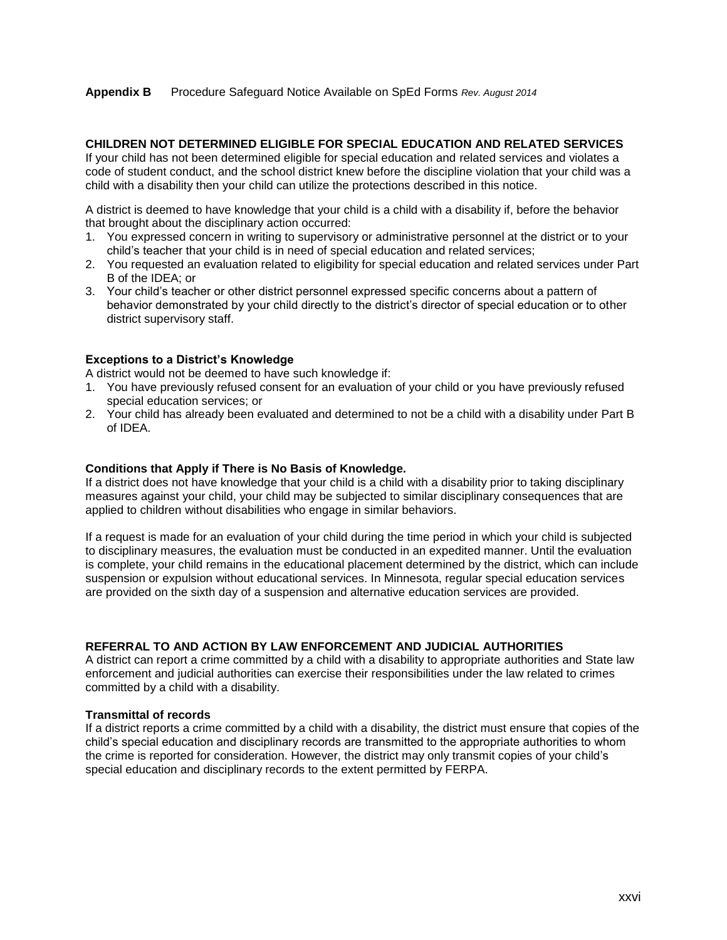#### **CHILDREN NOT DETERMINED ELIGIBLE FOR SPECIAL EDUCATION AND RELATED SERVICES**

If your child has not been determined eligible for special education and related services and violates a code of student conduct, and the school district knew before the discipline violation that your child was a child with a disability then your child can utilize the protections described in this notice.

A district is deemed to have knowledge that your child is a child with a disability if, before the behavior that brought about the disciplinary action occurred:

- 1. You expressed concern in writing to supervisory or administrative personnel at the district or to your child's teacher that your child is in need of special education and related services;
- 2. You requested an evaluation related to eligibility for special education and related services under Part B of the IDEA; or
- 3. Your child's teacher or other district personnel expressed specific concerns about a pattern of behavior demonstrated by your child directly to the district's director of special education or to other district supervisory staff.

#### **Exceptions to a District's Knowledge**

A district would not be deemed to have such knowledge if:

- 1. You have previously refused consent for an evaluation of your child or you have previously refused special education services; or
- 2. Your child has already been evaluated and determined to not be a child with a disability under Part B of IDEA.

#### **Conditions that Apply if There is No Basis of Knowledge.**

If a district does not have knowledge that your child is a child with a disability prior to taking disciplinary measures against your child, your child may be subjected to similar disciplinary consequences that are applied to children without disabilities who engage in similar behaviors.

If a request is made for an evaluation of your child during the time period in which your child is subjected to disciplinary measures, the evaluation must be conducted in an expedited manner. Until the evaluation is complete, your child remains in the educational placement determined by the district, which can include suspension or expulsion without educational services. In Minnesota, regular special education services are provided on the sixth day of a suspension and alternative education services are provided.

#### **REFERRAL TO AND ACTION BY LAW ENFORCEMENT AND JUDICIAL AUTHORITIES**

A district can report a crime committed by a child with a disability to appropriate authorities and State law enforcement and judicial authorities can exercise their responsibilities under the law related to crimes committed by a child with a disability.

#### **Transmittal of records**

If a district reports a crime committed by a child with a disability, the district must ensure that copies of the child's special education and disciplinary records are transmitted to the appropriate authorities to whom the crime is reported for consideration. However, the district may only transmit copies of your child's special education and disciplinary records to the extent permitted by FERPA.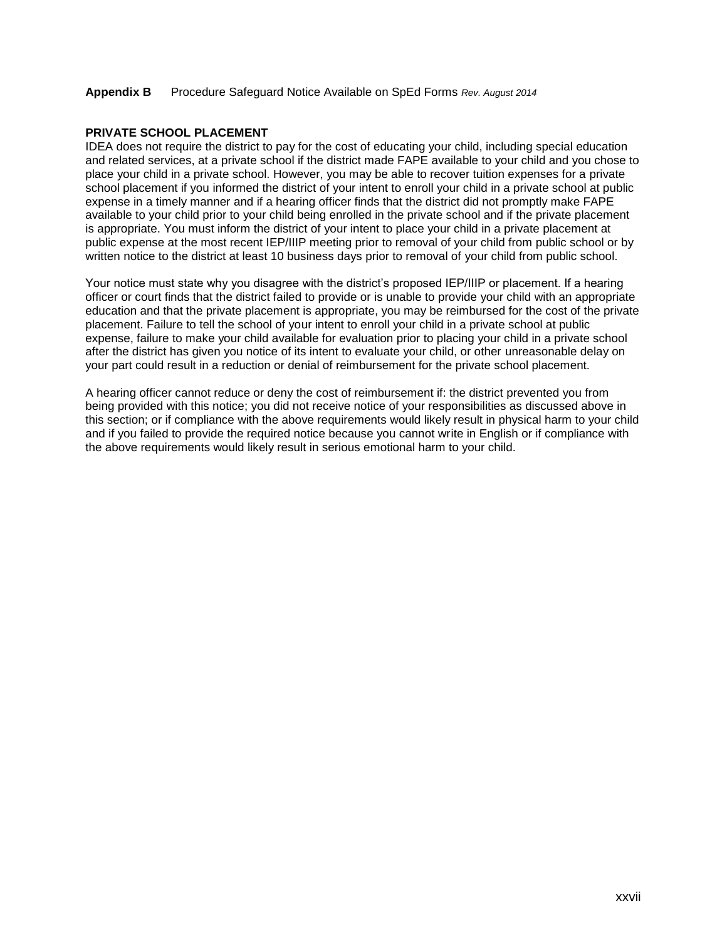#### **PRIVATE SCHOOL PLACEMENT**

IDEA does not require the district to pay for the cost of educating your child, including special education and related services, at a private school if the district made FAPE available to your child and you chose to place your child in a private school. However, you may be able to recover tuition expenses for a private school placement if you informed the district of your intent to enroll your child in a private school at public expense in a timely manner and if a hearing officer finds that the district did not promptly make FAPE available to your child prior to your child being enrolled in the private school and if the private placement is appropriate. You must inform the district of your intent to place your child in a private placement at public expense at the most recent IEP/IIIP meeting prior to removal of your child from public school or by written notice to the district at least 10 business days prior to removal of your child from public school.

Your notice must state why you disagree with the district's proposed IEP/IIIP or placement. If a hearing officer or court finds that the district failed to provide or is unable to provide your child with an appropriate education and that the private placement is appropriate, you may be reimbursed for the cost of the private placement. Failure to tell the school of your intent to enroll your child in a private school at public expense, failure to make your child available for evaluation prior to placing your child in a private school after the district has given you notice of its intent to evaluate your child, or other unreasonable delay on your part could result in a reduction or denial of reimbursement for the private school placement.

A hearing officer cannot reduce or deny the cost of reimbursement if: the district prevented you from being provided with this notice; you did not receive notice of your responsibilities as discussed above in this section; or if compliance with the above requirements would likely result in physical harm to your child and if you failed to provide the required notice because you cannot write in English or if compliance with the above requirements would likely result in serious emotional harm to your child.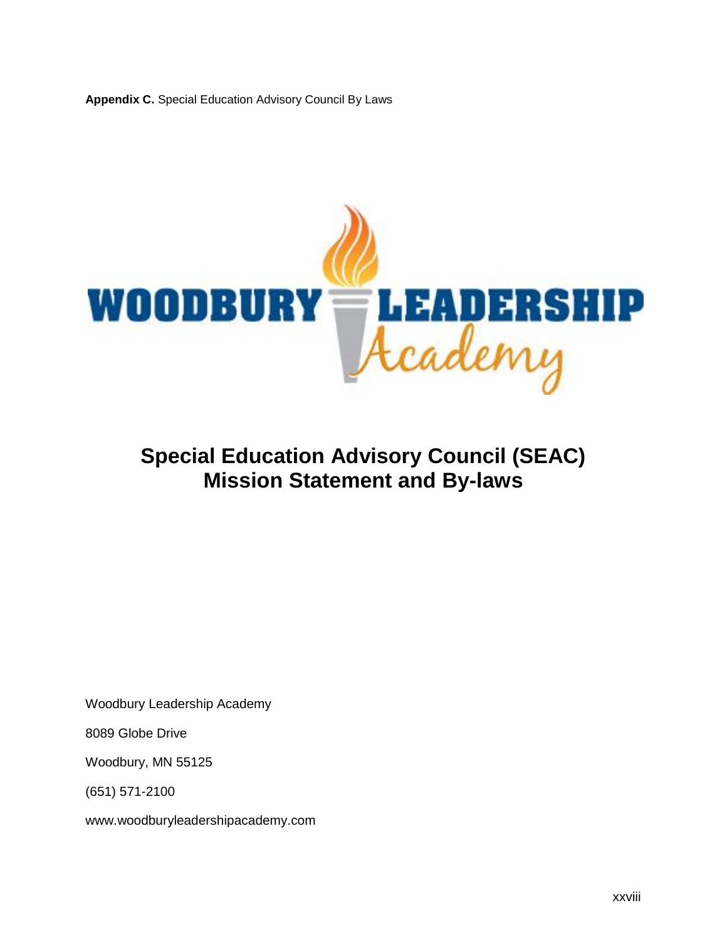

## **Special Education Advisory Council (SEAC) Mission Statement and By-laws**

Woodbury Leadership Academy

8089 Globe Drive

Woodbury, MN 55125

(651) 571-2100

www.woodburyleadershipacademy.com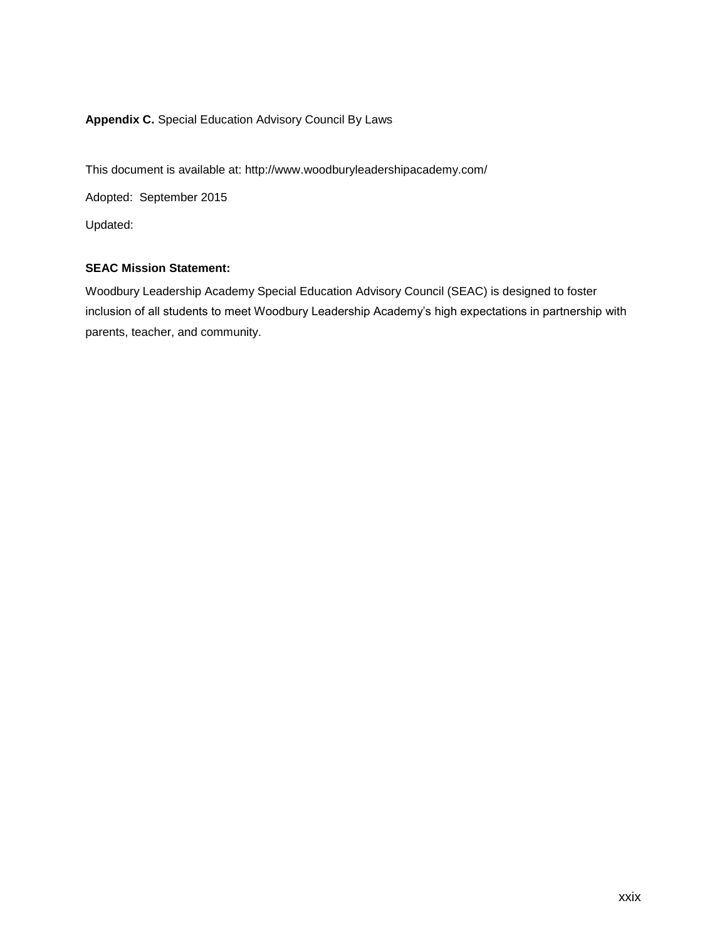This document is available at:<http://www.woodburyleadershipacademy.com/> Adopted: September 2015 Updated:

## **SEAC Mission Statement:**

Woodbury Leadership Academy Special Education Advisory Council (SEAC) is designed to foster inclusion of all students to meet Woodbury Leadership Academy's high expectations in partnership with parents, teacher, and community.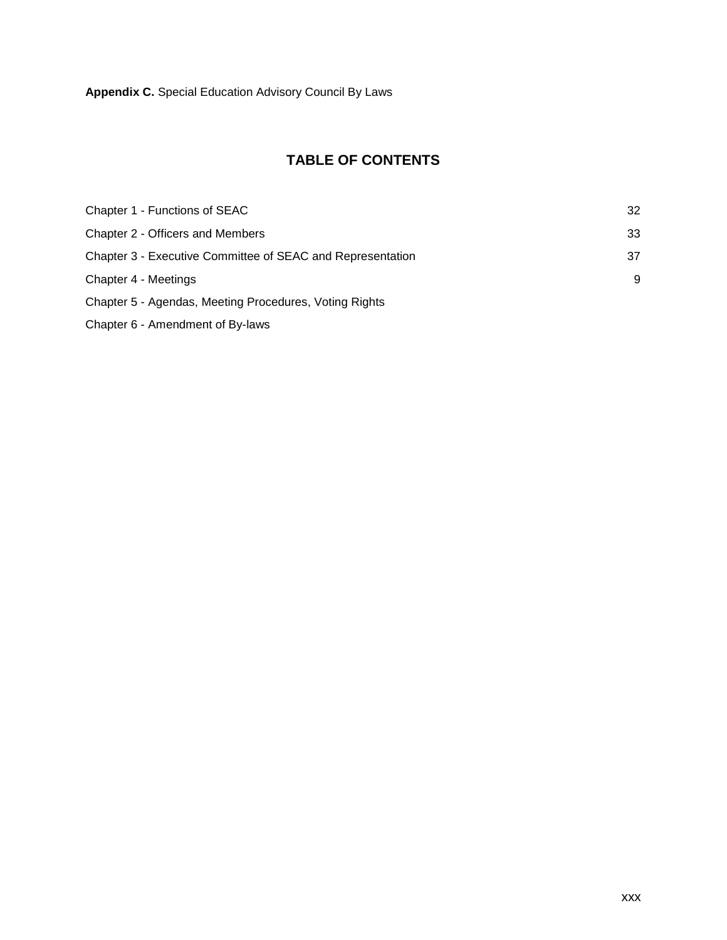## **TABLE OF CONTENTS**

| Chapter 1 - Functions of SEAC                              | 32 |
|------------------------------------------------------------|----|
| Chapter 2 - Officers and Members                           | 33 |
| Chapter 3 - Executive Committee of SEAC and Representation | 37 |
| Chapter 4 - Meetings                                       | 9  |
| Chapter 5 - Agendas, Meeting Procedures, Voting Rights     |    |
| Chapter 6 - Amendment of By-laws                           |    |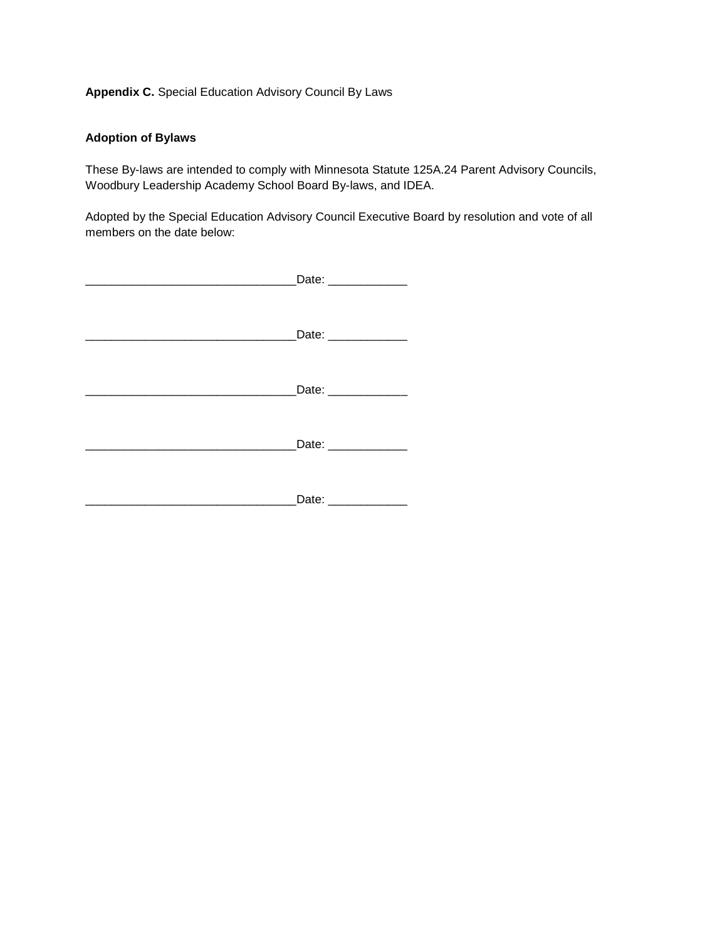## **Adoption of Bylaws**

These By-laws are intended to comply with Minnesota Statute 125A.24 Parent Advisory Councils, Woodbury Leadership Academy School Board By-laws, and IDEA.

Adopted by the Special Education Advisory Council Executive Board by resolution and vote of all members on the date below:

| Date: _____________  |
|----------------------|
| Date: ____________   |
| Date: ______________ |
| Date: _____________  |
| Date: _____________  |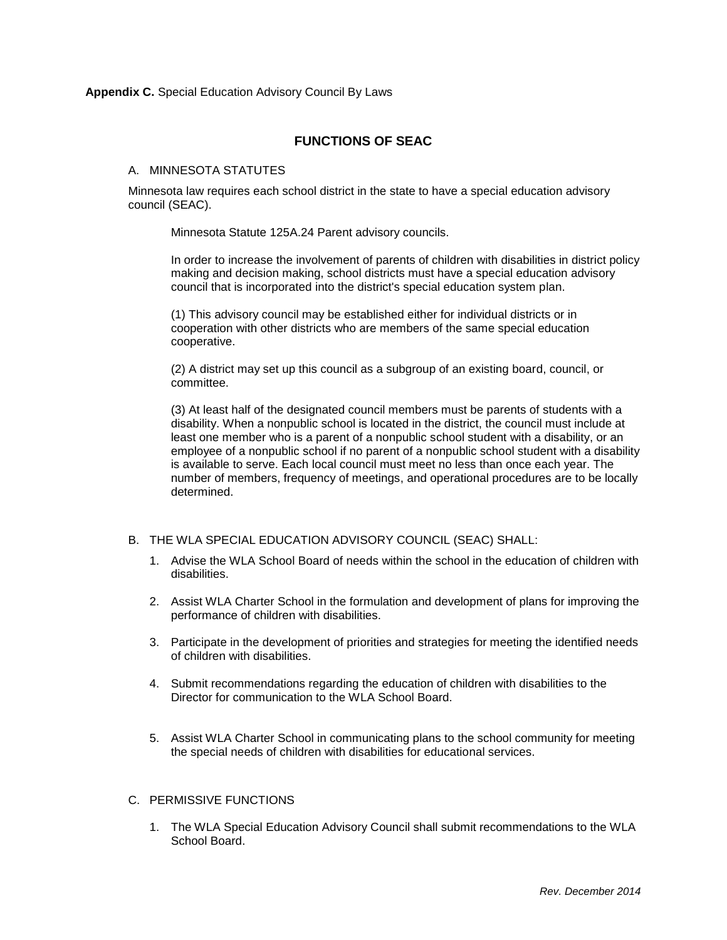## **FUNCTIONS OF SEAC**

#### A. MINNESOTA STATUTES

Minnesota law requires each school district in the state to have a special education advisory council (SEAC).

Minnesota Statute 125A.24 Parent advisory councils.

In order to increase the involvement of parents of children with disabilities in district policy making and decision making, school districts must have a special education advisory council that is incorporated into the district's special education system plan.

(1) This advisory council may be established either for individual districts or in cooperation with other districts who are members of the same special education cooperative.

(2) A district may set up this council as a subgroup of an existing board, council, or committee.

(3) At least half of the designated council members must be parents of students with a disability. When a nonpublic school is located in the district, the council must include at least one member who is a parent of a nonpublic school student with a disability, or an employee of a nonpublic school if no parent of a nonpublic school student with a disability is available to serve. Each local council must meet no less than once each year. The number of members, frequency of meetings, and operational procedures are to be locally determined.

#### B. THE WLA SPECIAL EDUCATION ADVISORY COUNCIL (SEAC) SHALL:

- 1. Advise the WLA School Board of needs within the school in the education of children with disabilities.
- 2. Assist WLA Charter School in the formulation and development of plans for improving the performance of children with disabilities.
- 3. Participate in the development of priorities and strategies for meeting the identified needs of children with disabilities.
- 4. Submit recommendations regarding the education of children with disabilities to the Director for communication to the WLA School Board.
- 5. Assist WLA Charter School in communicating plans to the school community for meeting the special needs of children with disabilities for educational services.

#### C. PERMISSIVE FUNCTIONS

1. The WLA Special Education Advisory Council shall submit recommendations to the WLA School Board.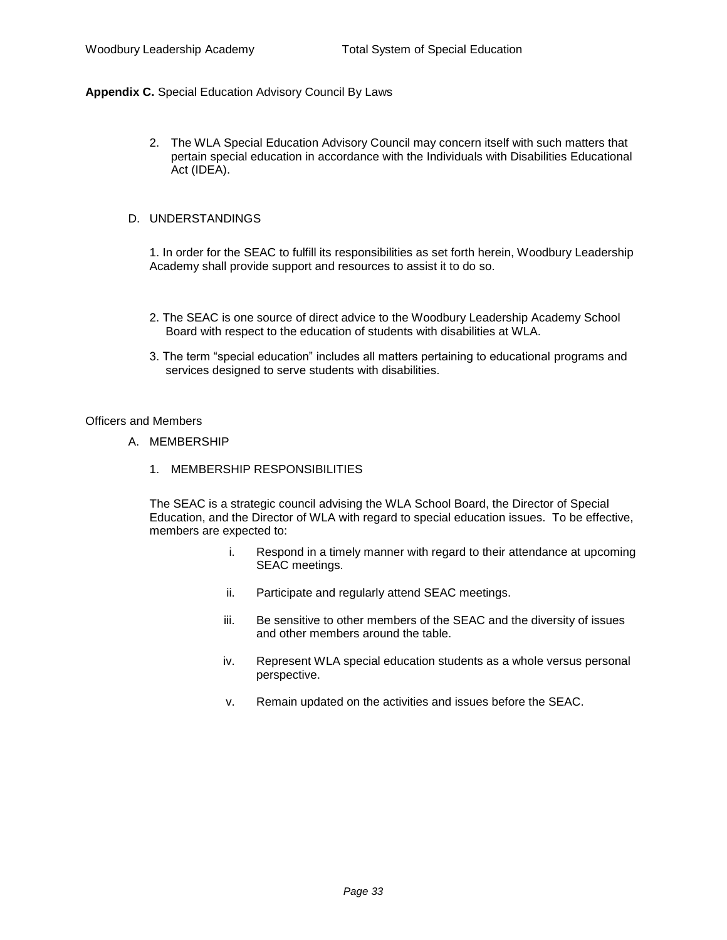2. The WLA Special Education Advisory Council may concern itself with such matters that pertain special education in accordance with the Individuals with Disabilities Educational Act (IDEA).

#### D. UNDERSTANDINGS

1. In order for the SEAC to fulfill its responsibilities as set forth herein, Woodbury Leadership Academy shall provide support and resources to assist it to do so.

- 2. The SEAC is one source of direct advice to the Woodbury Leadership Academy School Board with respect to the education of students with disabilities at WLA.
- 3. The term "special education" includes all matters pertaining to educational programs and services designed to serve students with disabilities.

#### Officers and Members

- A. MEMBERSHIP
	- 1. MEMBERSHIP RESPONSIBILITIES

The SEAC is a strategic council advising the WLA School Board, the Director of Special Education, and the Director of WLA with regard to special education issues. To be effective, members are expected to:

- i. Respond in a timely manner with regard to their attendance at upcoming SEAC meetings.
- ii. Participate and regularly attend SEAC meetings.
- iii. Be sensitive to other members of the SEAC and the diversity of issues and other members around the table.
- iv. Represent WLA special education students as a whole versus personal perspective.
- v. Remain updated on the activities and issues before the SEAC.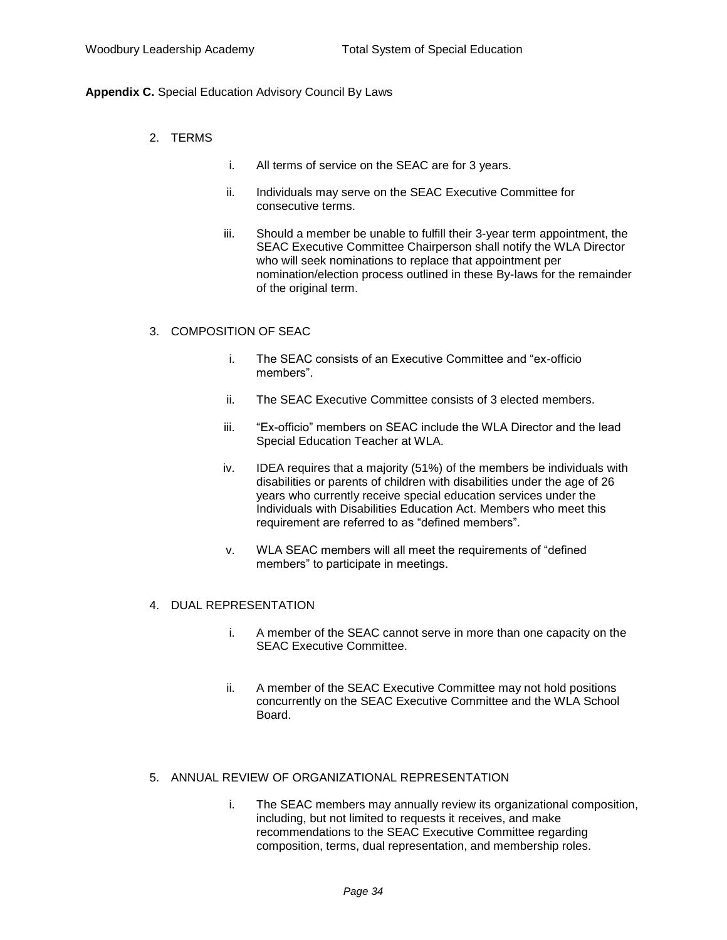- 2. TERMS
- i. All terms of service on the SEAC are for 3 years.
- ii. Individuals may serve on the SEAC Executive Committee for consecutive terms.
- iii. Should a member be unable to fulfill their 3-year term appointment, the SEAC Executive Committee Chairperson shall notify the WLA Director who will seek nominations to replace that appointment per nomination/election process outlined in these By-laws for the remainder of the original term.

#### 3. COMPOSITION OF SEAC

- i. The SEAC consists of an Executive Committee and "ex-officio members".
- ii. The SEAC Executive Committee consists of 3 elected members.
- iii. "Ex-officio" members on SEAC include the WLA Director and the lead Special Education Teacher at WLA.
- iv. IDEA requires that a majority (51%) of the members be individuals with disabilities or parents of children with disabilities under the age of 26 years who currently receive special education services under the Individuals with Disabilities Education Act. Members who meet this requirement are referred to as "defined members".
- v. WLA SEAC members will all meet the requirements of "defined members" to participate in meetings.

#### 4. DUAL REPRESENTATION

- i. A member of the SEAC cannot serve in more than one capacity on the SEAC Executive Committee.
- ii. A member of the SEAC Executive Committee may not hold positions concurrently on the SEAC Executive Committee and the WLA School Board.

#### 5. ANNUAL REVIEW OF ORGANIZATIONAL REPRESENTATION

i. The SEAC members may annually review its organizational composition, including, but not limited to requests it receives, and make recommendations to the SEAC Executive Committee regarding composition, terms, dual representation, and membership roles.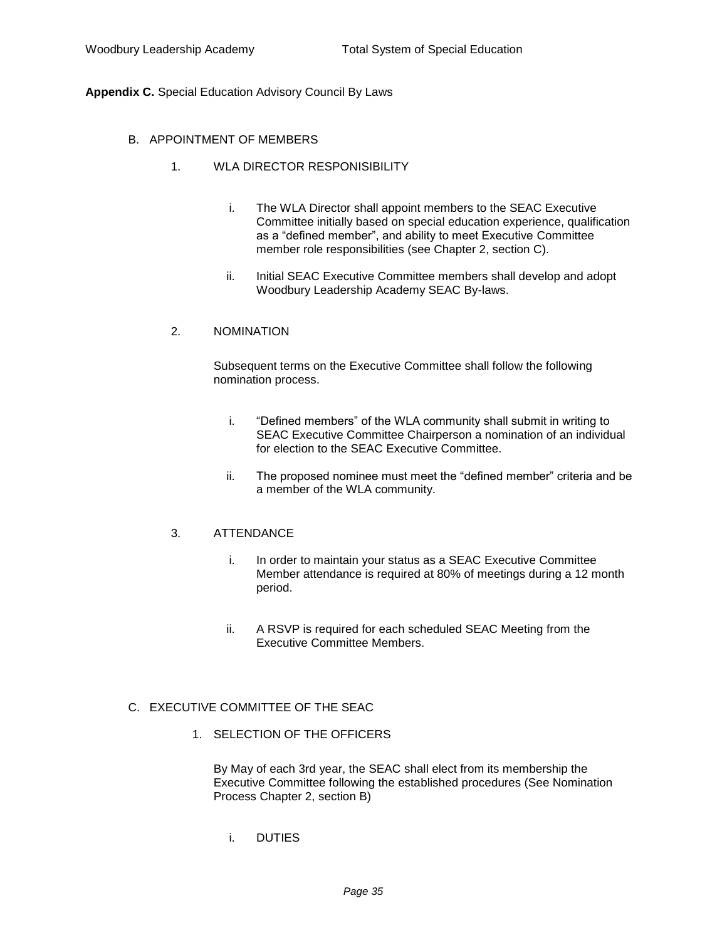- B. APPOINTMENT OF MEMBERS
	- 1. WLA DIRECTOR RESPONISIBILITY
		- i. The WLA Director shall appoint members to the SEAC Executive Committee initially based on special education experience, qualification as a "defined member", and ability to meet Executive Committee member role responsibilities (see Chapter 2, section C).
		- ii. Initial SEAC Executive Committee members shall develop and adopt Woodbury Leadership Academy SEAC By-laws.

#### 2. NOMINATION

Subsequent terms on the Executive Committee shall follow the following nomination process.

- i. "Defined members" of the WLA community shall submit in writing to SEAC Executive Committee Chairperson a nomination of an individual for election to the SEAC Executive Committee.
- ii. The proposed nominee must meet the "defined member" criteria and be a member of the WLA community.

#### 3. ATTENDANCE

- i. In order to maintain your status as a SEAC Executive Committee Member attendance is required at 80% of meetings during a 12 month period.
- ii. A RSVP is required for each scheduled SEAC Meeting from the Executive Committee Members.

## C. EXECUTIVE COMMITTEE OF THE SEAC

1. SELECTION OF THE OFFICERS

By May of each 3rd year, the SEAC shall elect from its membership the Executive Committee following the established procedures (See Nomination Process Chapter 2, section B)

i. DUTIES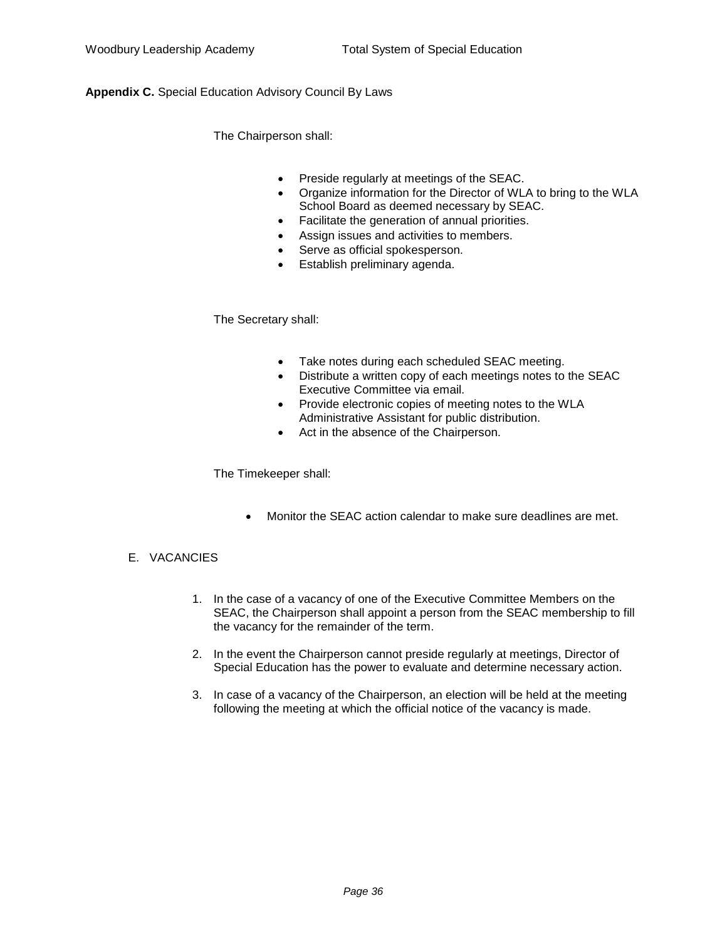The Chairperson shall:

- Preside regularly at meetings of the SEAC.
- Organize information for the Director of WLA to bring to the WLA School Board as deemed necessary by SEAC.
- Facilitate the generation of annual priorities.
- Assign issues and activities to members.
- Serve as official spokesperson.
- Establish preliminary agenda.

The Secretary shall:

- Take notes during each scheduled SEAC meeting.
- Distribute a written copy of each meetings notes to the SEAC Executive Committee via email.
- Provide electronic copies of meeting notes to the WLA Administrative Assistant for public distribution.
- Act in the absence of the Chairperson.

The Timekeeper shall:

Monitor the SEAC action calendar to make sure deadlines are met.

## E. VACANCIES

- 1. In the case of a vacancy of one of the Executive Committee Members on the SEAC, the Chairperson shall appoint a person from the SEAC membership to fill the vacancy for the remainder of the term.
- 2. In the event the Chairperson cannot preside regularly at meetings, Director of Special Education has the power to evaluate and determine necessary action.
- 3. In case of a vacancy of the Chairperson, an election will be held at the meeting following the meeting at which the official notice of the vacancy is made.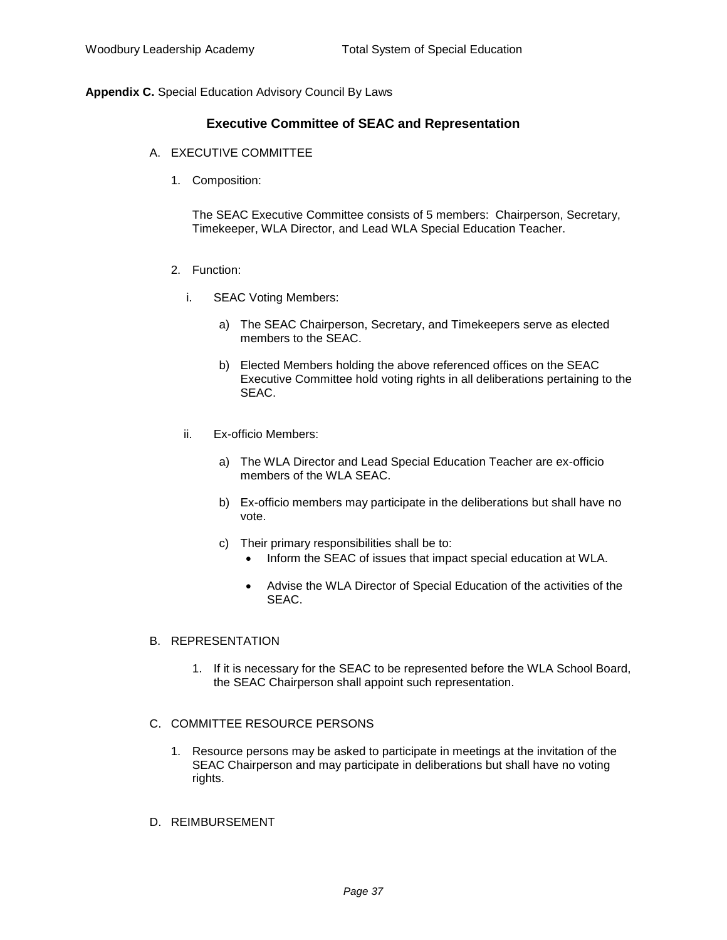## **Executive Committee of SEAC and Representation**

- A. EXECUTIVE COMMITTEE
	- 1. Composition:

The SEAC Executive Committee consists of 5 members: Chairperson, Secretary, Timekeeper, WLA Director, and Lead WLA Special Education Teacher.

- 2. Function:
	- i. SEAC Voting Members:
		- a) The SEAC Chairperson, Secretary, and Timekeepers serve as elected members to the SEAC.
		- b) Elected Members holding the above referenced offices on the SEAC Executive Committee hold voting rights in all deliberations pertaining to the SEAC.
	- ii. Ex-officio Members:
		- a) The WLA Director and Lead Special Education Teacher are ex-officio members of the WLA SEAC.
		- b) Ex-officio members may participate in the deliberations but shall have no vote.
		- c) Their primary responsibilities shall be to:
			- Inform the SEAC of issues that impact special education at WLA.
			- Advise the WLA Director of Special Education of the activities of the SEAC.

#### B. REPRESENTATION

1. If it is necessary for the SEAC to be represented before the WLA School Board, the SEAC Chairperson shall appoint such representation.

#### C. COMMITTEE RESOURCE PERSONS

- 1. Resource persons may be asked to participate in meetings at the invitation of the SEAC Chairperson and may participate in deliberations but shall have no voting rights.
- D. REIMBURSEMENT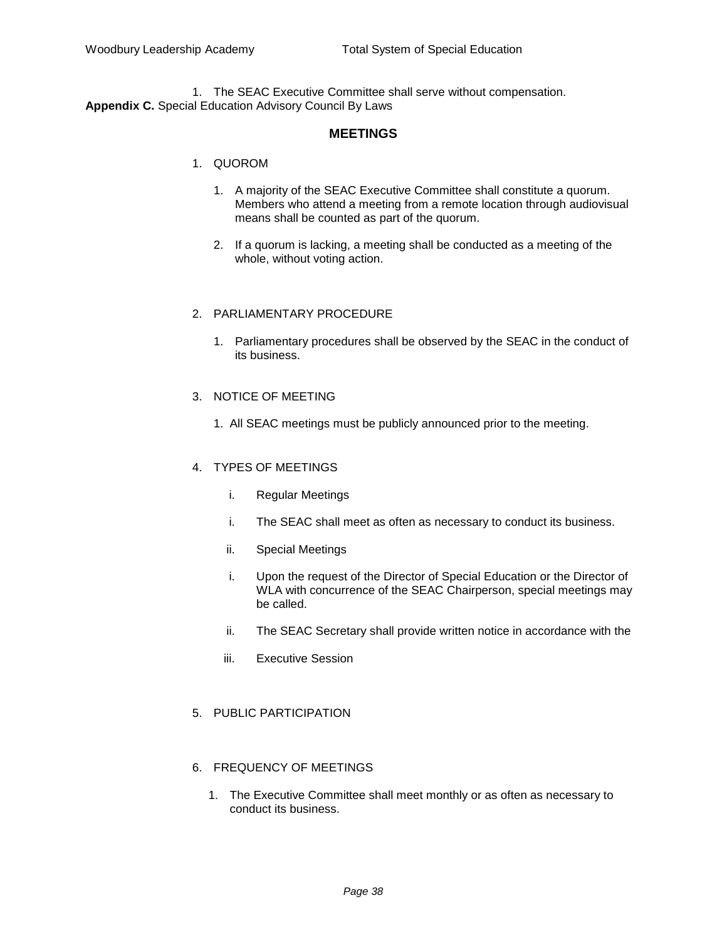1. The SEAC Executive Committee shall serve without compensation. **Appendix C.** Special Education Advisory Council By Laws

## **MEETINGS**

#### 1. QUOROM

- 1. A majority of the SEAC Executive Committee shall constitute a quorum. Members who attend a meeting from a remote location through audiovisual means shall be counted as part of the quorum.
- 2. If a quorum is lacking, a meeting shall be conducted as a meeting of the whole, without voting action.

#### 2. PARLIAMENTARY PROCEDURE

1. Parliamentary procedures shall be observed by the SEAC in the conduct of its business.

#### 3. NOTICE OF MEETING

1. All SEAC meetings must be publicly announced prior to the meeting.

#### 4. TYPES OF MEETINGS

- i. Regular Meetings
- i. The SEAC shall meet as often as necessary to conduct its business.
- ii. Special Meetings
- i. Upon the request of the Director of Special Education or the Director of WLA with concurrence of the SEAC Chairperson, special meetings may be called.
- ii. The SEAC Secretary shall provide written notice in accordance with the
- iii. Executive Session
- 5. PUBLIC PARTICIPATION

#### 6. FREQUENCY OF MEETINGS

1. The Executive Committee shall meet monthly or as often as necessary to conduct its business.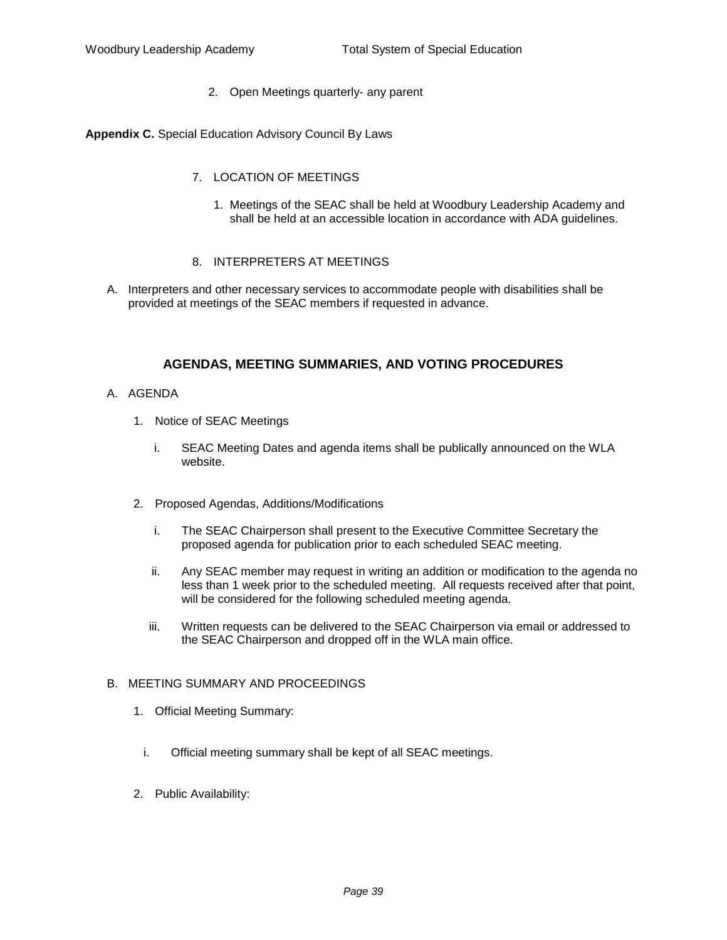2. Open Meetings quarterly- any parent

**Appendix C.** Special Education Advisory Council By Laws

- 7. LOCATION OF MEETINGS
	- 1. Meetings of the SEAC shall be held at Woodbury Leadership Academy and shall be held at an accessible location in accordance with ADA guidelines.
- 8. INTERPRETERS AT MEETINGS
- A. Interpreters and other necessary services to accommodate people with disabilities shall be provided at meetings of the SEAC members if requested in advance.

## **AGENDAS, MEETING SUMMARIES, AND VOTING PROCEDURES**

- A. AGENDA
	- 1. Notice of SEAC Meetings
		- i. SEAC Meeting Dates and agenda items shall be publically announced on the WLA website.
	- 2. Proposed Agendas, Additions/Modifications
		- i. The SEAC Chairperson shall present to the Executive Committee Secretary the proposed agenda for publication prior to each scheduled SEAC meeting.
		- ii. Any SEAC member may request in writing an addition or modification to the agenda no less than 1 week prior to the scheduled meeting. All requests received after that point, will be considered for the following scheduled meeting agenda.
		- iii. Written requests can be delivered to the SEAC Chairperson via email or addressed to the SEAC Chairperson and dropped off in the WLA main office.

#### B. MEETING SUMMARY AND PROCEEDINGS

- 1. Official Meeting Summary:
	- i. Official meeting summary shall be kept of all SEAC meetings.
- 2. Public Availability: